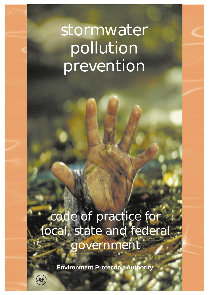# **stormwater pollution prevention**

**code of practice for local, state and federal government** 

**Environment Protection Authority** 

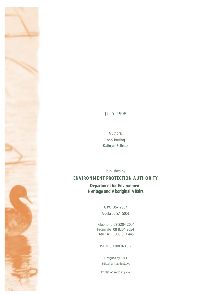## JULY 1998

Authors: John Botting Kathryn Bellette

Published by **ENVIRONMENT PROTECTION AUTHORITY** 

**Department for Environment, Heritage and Aboriginal Affairs** 

> GPO Box 2607 Adelaide SA 5001

Telephone 08 8204 2004 Facsimile 08 8204 2054 Free Call 1800 623 445

ISBN 0 7308 0213 2

Designed by RTFX Edited by Kathie Stove

*Printed on recycled paper*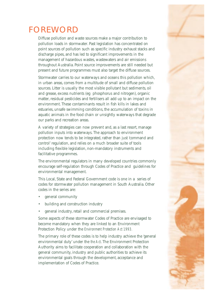

## FOREWORD

Diffuse pollution and waste sources make a major contribution to pollution loads in stormwater. Past legislation has concentrated on point sources of pollution such as specific industry exhaust stacks and discharge pipes, and has led to significant improvements in the management of hazardous wastes, wastewaters and air emissions throughout Australia. Point source improvements are still needed but present and future programmes must also target the diffuse sources.

Stormwater carries to our waterways and oceans this pollution which, in urban areas, comes from a multitude of small and diffuse pollution sources. Litter is usually the most visible pollutant but sediments, oil and grease, excess nutrients (eg phosphorus and nitrogen), organic matter, residual pesticides and fertilisers all add up to an impact on the environment. These contaminants result in fish kills in lakes and estuaries, unsafe swimming conditions, the accumulation of toxins in aquatic animals in the food chain or unsightly waterways that degrade our parks and recreation areas.

A variety of strategies can now prevent and, as a last resort, manage pollution inputs into waterways. The approach to environment protection now tends to be integrated, rather than just 'command and control' regulation, and relies on a much broader suite of tools including flexible legislation, non-mandatory instruments and facilitative programmes.

The environmental regulators in many developed countries commonly encourage self-regulation through Codes of Practice and guidelines for environmental management.

This Local, State and Federal Government code is one in a series of codes for stormwater pollution management in South Australia. Other codes in the series are:

- general community
- building and construction industry
- general industry, retail and commercial premises.

Some aspects of these stormwater Codes of Practice are envisaged to become mandatory when they are linked to an Environment Protection Policy under the *Environment Protection Act 1993.* 

The primary role of these codes is to help industry achieve the 'general environmental duty' under the *the Act*. The Environment Protection Authority aims to facilitate cooperation and collaboration with the general community, industry and public authorities to achieve its environmental goals through the development, acceptance and implementation of Codes of Practice.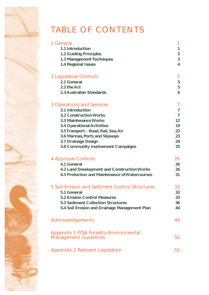## TABLE OF CONTENTS

| 1 General                                      |                 |
|------------------------------------------------|-----------------|
| 1.1 Introduction                               | 1               |
| <b>1.2 Guiding Principles</b>                  | $\overline{2}$  |
| 1.3 Management Techniques                      | 3               |
| <b>1.4 Regional Issues</b>                     | 4               |
| 2 Legislative Controls                         | 5               |
| 2.1 General                                    | 5               |
| 2.2 the Act                                    | 5               |
| 2.3 Australian Standards                       | 6               |
| 3 Operations and Services                      | 7               |
| 3.1 Introduction                               | $\overline{7}$  |
| <b>3.2 Construction Works</b>                  | $\overline{7}$  |
| 3.3 Maintenance Works                          | 12              |
| <b>3.4 Operational Activities</b>              | 19              |
| 3.5 Transport - Road, Rail, Sea, Air           | 23              |
| 3.6 Marinas, Ports and Slipways                | 23              |
| 3.7 Drainage Design                            | 24              |
| 3.8 Community Involvement Campaigns            | 25              |
| 4 Approval Controls                            | 26              |
| 4.1 General                                    | 26              |
| 4.2 Land Development and Construction Works    | 26              |
| 4.3 Protection and Maintenance of Watercourses | 31              |
| 5 Soil Erosion and Sediment Control Structures | 32              |
| 5.1 General                                    | 32 <sub>2</sub> |
| <b>5.2 Erosion Control Measures</b>            | 33              |
| <b>5.3 Sediment Collection Structures</b>      | 36              |
| 5.4 Soil Erosion and Drainage Management Plan  | 44              |
| Acknowledgements                               | 49              |
| <b>Appendix 1 PISA Forestry Environmental</b>  |                 |
| <b>Management Guidelines</b>                   | 50              |
| Appendix 2 Relevant Legislation                | 51              |
|                                                |                 |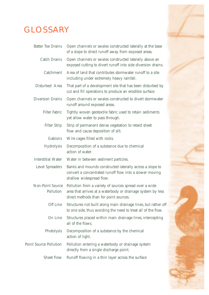## GLOSSARY



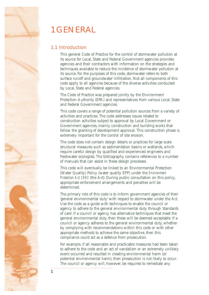<span id="page-5-0"></span>

## **1.1 Introduction**

This general Code of Practice for the control of stormwater pollution at its source for Local, State and Federal Government agencies provides agencies and their contractors with information on the strategies and techniques available to reduce the incidence of stormwater pollution at its source. For the purposes of this code, stormwater refers to both surface runoff and groundwater infiltration. Not all components of this code apply to all agencies because of the diverse activities conducted by Local, State and Federal agencies.

The Code of Practice was prepared jointly by the Environment Protection Authority (EPA) and representatives from various Local, State and Federal Government agencies.

This code covers a range of potential pollution sources from a variety of activities and practices. The code addresses issues related to construction activities subject to approval by Local Government or Government agencies, mainly construction and building works that follow the granting of development approval. This construction phase is extremely important for the control of site erosion.

The code does not contain design details or practices for large scale structural measures such as sedimentation basins or wetlands, which require careful design by qualified and experienced engineers and freshwater ecologists. The bibliography contains references to a number of manuals that can assist in these design processes.

This code will eventually be linked to an Environmental Protection (Water Quality) Policy (water quality EPP) under the *Environment Protection Act 1993* (the Act). During public consultation on this policy, appropriate enforcement arrangements and penalties will be determined.

The primary role of this code is to inform government agencies of their 'general environmental duty' with respect to stormwater under the Act. Use the code as a guide with techniques to enable the council or agency to adhere to the general environmental duty through 'standards of care'. If a council or agency has alternative techniques that meet the general environmental duty, then these will be deemed acceptable. If a council or agency adheres to the general environmental duty, whether by complying with recommendations within this code or with other appropriate methods to achieve the same objective, then this compliance could act as a defence from prosecution.

For example, if all reasonable and practicable measures had been taken to adhere to the code and an act of vandalism or an extremely unlikely event occurred and resulted in creating environmental harm (or potential environmental harm), then prosecution is not likely to occur. The council or agency will, however, be required to remediate any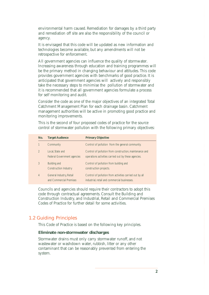<span id="page-6-0"></span>environmental harm caused. Remediation for damages by a third party and remediation off site are also the responsibility of the council or agency.

It is envisaged that this code will be updated as new information and technologies become available, but any amendments will not be retrospective for enforcement.

for self monitoring and audit. All government agencies can influence the quality of stormwater. Increasing awareness through education and training programmes will be the primary method in changing behaviour and attitudes. This code provides government agencies with benchmarks of good practice. It is anticipated that government agencies will actively and responsibly take the necessary steps to minimise the pollution of stormwater and it is recommended that all government agencies formulate a process

Consider the code as one of the major objectives of an integrated Total Catchment Management Plan for each drainage basin. Catchment management authorities will be active in promoting good practice and monitoring improvements.

This is the second of four proposed codes of practice for the source control of stormwater pollution with the following primary objectives:

| No.            | <b>Target Audience</b>                                 | <b>Primary Objective</b>                                                                                        |
|----------------|--------------------------------------------------------|-----------------------------------------------------------------------------------------------------------------|
|                | Community                                              | Control of pollution from the general community.                                                                |
| $\mathfrak{D}$ | Local, State and<br><b>Federal Government agencies</b> | Control of pollution from construction, maintenance and<br>operations activities carried out by these agencies. |
|                | Building and<br><b>Construction Industry</b>           | Control of pollution from building and<br>construction projects.                                                |
| $\overline{4}$ | General Industry, Retail<br>and Commercial Premises    | Control of pollution from activities carried out by all<br>industrial, retail and commercial businesses.        |

Councils and agencies should require their contractors to adopt this code through contractual agreements. Consult the Building and Construction Industry, and Industrial, Retail and Commercial Premises Codes of Practice for further detail for some activities.

## **1.2 Guiding Principles**

This Code of Practice is based on the following key principles.

### **Eliminate non-stormwater discharges**

system. Stormwater drains must only carry stormwater runoff, and not wastewater or washdown water, rubbish, litter or any other contaminant that can be reasonably prevented from entering the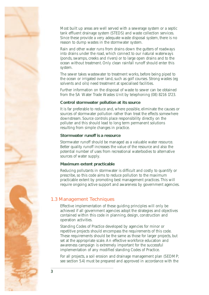<span id="page-7-0"></span>

Most built up areas are well served with a sewerage system or a septic tank effluent drainage system (STEDS) and waste collection services. Since these provide a very adequate waste disposal system, there is no reason to dump wastes in the stormwater system.

Rain and other water runs from drains down the gutters of roadways into drains under the road, which connect to our natural waterways (ponds, swamps, creeks and rivers) or to large open drains and to the ocean without treatment. Only clean rainfall runoff should enter this system.

The sewer takes wastewater to treatment works, before being piped to the ocean or irrigated over land, such as golf courses. Strong wastes (eg solvents and oils) need treatment at specialised facilities.

Further information on the disposal of waste to sewer can be obtained from the SA Water Trade Wastes Unit by telephoning (08) 8216 1723.

## **Control stormwater pollution at its source**

It is far preferable to reduce and, where possible, eliminate the causes or sources of stormwater pollution rather than treat the effects somewhere downstream. Source controls place responsibility directly on the polluter and this should lead to long term permanent solutions resulting from simple changes in practice.

#### **Stormwater runoff is a resource**

Stormwater runoff should be managed as a valuable water resource. Better quality runoff increases the value of the resource and also the potential number of uses from recreational waterbodies to alternative sources of water supply.

#### **Maximum extent practicable**

Reducing pollutants in stormwater is difficult and costly to quantify or prescribe, so this code aims to reduce pollution to the maximum practicable extent by promoting best management practices. This will require ongoing active support and awareness by government agencies.

## **1.3 Management Techniques**

Effective implementation of these guiding principles will only be achieved if all government agencies adopt the strategies and objectives contained within this code in planning, design, construction and operation activities.

Standing Codes of Practice developed by agencies for minor or repetitive projects should encompass the requirements of this code. These requirements should be the same as those for larger projects, but set at the appropriate scale. An effective workforce education and awareness campaign is extremely important for the successful implementation of any modified standing Codes of Practice.

For all projects, a soil erosion and drainage management plan (SEDMP; see section 5.4) must be prepared and approved in accordance with the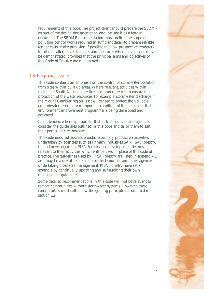<span id="page-8-0"></span>requirements of this code. The project client should prepare the SEDMP as part of the design documentation and include it as a tender document. The SEDMP documentation must define the scope of pollution control works required in sufficient detail to prepare reliable tender costs. Make provision if possible to allow prospective tenderers to submit alternative strategies and measures where advantages may be demonstrated, provided that the principal aims and objectives of this Code of Practice are maintained.

## **1.4 Regional Issues**

This code contains an emphasis on the control of stormwater pollution from sites within built up areas. Where relevant, activities within regions of South Australia are licensed under the Act to ensure the protection of the water resources. For example, stormwater discharge in the Mount Gambier region is now licensed to protect the valuable groundwater resource. An important condition of that licence is that an environment improvement programme is being developed and activated.

It is intended, where appropriate, that district councils and agencies consider the guidelines outlined in this code and tailor them to suit their particular circumstance.

This code does not address broadacre primary production activities undertaken by agencies such as Primary Industries SA (PISA) Forestry. It is acknowledged that PISA Forestry has developed guidelines relevant to their activities which will be used in place of this code of practice. The guidelines used by PISA Forestry are listed in appendix 1 and may be a useful reference for district councils and other agencies undertaking broadacre management. PISA Forestry have set an example by continually updating and self auditing their own management guidelines.

Some detailed recommendations in this code will not be relevant to remote communities without stormwater systems. However, these communities must still follow the guiding principles as outlined in section 1.2.

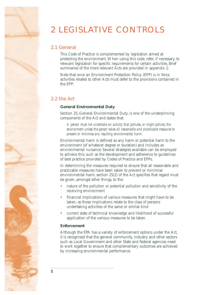## <span id="page-9-0"></span>2 LEGISLATIVE CONTROLS

## **2.1 General**

This Code of Practice is complemented by legislation aimed at protecting the environment. When using this code, refer, if necessary, to relevant legislation for specific requirements for certain activities. Brief summaries of the more relevant Acts are provided in appendix 2.

Note that once an Environment Protection Policy (EPP) is in force, activities related to other Acts must defer to the provisions contained in the EPP.

## **2.2 the Act**

## **General Environmental Duty**

Section 25, General Environmental Duty, is one of the underpinning components of the Act and states that:

*A person must not undertake an activity that pollutes, or might pollute, the environment unless the person takes all reasonable and practicable measures to prevent or minimise any resulting environmental harm.* 

Environmental harm is defined as any harm or potential harm to the environment (of whatever degree or duration) and includes an environmental nuisance. Several strategies available can be employed to achieve this, such as the development and adherence to guidelines of best practice provided by Codes of Practice and EPPs.

In determining the measures required to ensure that all reasonable and practicable measures have been taken to prevent or minimise environmental harm, section 25(2) of the Act specifies that regard must be given, amongst other things, to the:

- nature of the pollution or potential pollution and sensitivity of the receiving environment
- financial implications of various measures that might have to be taken, as those implications relate to the class of persons undertaking activities of the same or similar kind
- current state of technical knowledge and likelihood of successful application of the various measures to be taken.

## **Enforcement**

Although the EPA has a variety of enforcement options under the Act, it is recognised that the general community, industry and other sectors such as Local Government and other State and Federal agencies need to work together to ensure that complementary outcomes are achieved by increasing environmental performance.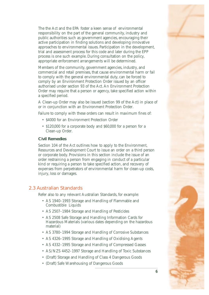<span id="page-10-0"></span>The the Act and the EPA foster a keen sense of environmental responsibility on the part of the general community, industry and public authorities such as government agencies, encouraging their active participation in finding solutions and developing innovative approaches to environmental issues. Participation in the development, trial and assessment process for this code and later during the EPP process is one such example. During consultation on the policy, appropriate enforcement arrangements will be determined.

Members of the community, government agencies, industry, and commercial and retail premises, that cause environmental harm or fail to comply with the general environmental duty, can be forced to comply by an Environment Protection Order issued by an officer authorised under section 93 of the Act. An Environment Protection Order may require that a person or agency, take specified action within a specified period.

A Clean-up Order may also be issued (section 99 of the Act) in place of or in conjunction with an Environment Protection Order.

Failure to comply with these orders can result in maximum fines of:

- \$4000 for an Environment Protection Order
- \$120,000 for a corporate body and \$60,000 for a person for a Clean-up Order.

#### **Civil Remedies**

Section 104 of the Act outlines how to apply to the Environment, Resources and Development Court to issue an order on a third person or corporate body. Provisions in this section include the issue of an order restraining a person from engaging in conduct of a particular kind or requiring a person to take specified action, and recovery of expenses from perpetrators of environmental harm for clean-up costs, injury, loss or damages.

## **2.3 Australian Standards**

Refer also to any relevant Australian Standards, for example:

- • AS 1940–1993 Storage and Handling of Flammable and Combustible Liquids
- AS 2507-1984 Storage and Handling of Pesticides
- • AS 2508 Safe Storage and Handling Information Cards for Hazardous Materials (various dates depending on the hazardous material)
- • AS 3780–1994 Storage and Handling of Corrosive Substances
- AS 4326-1995 Storage and Handling of Oxidising Agents
- AS 4332-1995 Storage and Handling of Compressed Gasses
- AS/NZS 4452-1997 Storage and Handling of Toxic Substances
- • (Draft) Storage and Handling of Class 4 Dangerous Goods
- • (Draft) Safe Warehousing of Dangerous Goods

**6**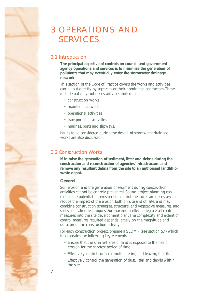<span id="page-11-0"></span>

## 3 OPERATIONS AND SERVICES

## **3.1 Introduction**

**The principal objective of controls on council and government agency operations and services is to minimise the generation of pollutants that may eventually enter the stormwater drainage network.** 

This section of the Code of Practice covers the works and activities carried out directly by agencies or their nominated contractors. These include but may not necessarily be limited to:

- • construction works
- maintenance works
- • operational activities
- • transportation activities
- marinas, ports and slipways.

Issues to be considered during the design of stormwater drainage works are also discussed.

## **3.2 Construction Works**

**Minimise the generation of sediment, litter and debris during the construction and reconstruction of agencies' infrastructure and remove any resultant debris from the site to an authorised landfill or waste depot.** 

## **General**

Soil erosion and the generation of sediment during construction activities cannot be entirely prevented. Sound project planning can reduce the potential for erosion but control measures are necessary to reduce the impact of the erosion both on site and off site, and may combine construction strategies, structural and vegetative measures, and soil stabilisation techniques. For maximum effect, integrate all control measures into the site development plan. The complexity and extent of control measures required depends largely on the magnitude and duration of the construction activity.

For each construction project, prepare a SEDMP (see section 5.4) which incorporates the following key elements.

- • Ensure that the smallest area of land is exposed to the risk of erosion for the shortest period of time.
- Effectively control surface runoff entering and leaving the site.
- Effectively control the generation of dust, litter and debris within the site.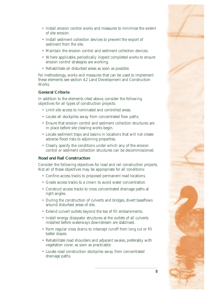- Install erosion control works and measures to minimise the extent of site erosion.
- Install sediment collection devices to prevent the export of sediment from the site.
- Maintain the erosion control and sediment collection devices.
- Where applicable, periodically inspect completed works to ensure erosion control strategies are working.
- Rehabilitate all disturbed areas as soon as possible.

For methodology, works and measures that can be used to implement these elements see section 4.2 Land Development and Construction Works.

## **General Criteria**

In addition to the elements cited above, consider the following objectives for all types of construction projects:

- Limit site access to nominated and controlled areas.
- Locate all stockpiles away from concentrated flow paths.
- Ensure that erosion control and sediment collection structures are in place before site clearing works begin.
- • Locate sediment traps and basins in locations that will not create adverse flood risks to adjoining properties.
- Clearly specify the conditions under which any of the erosion control or sediment collection structures can be decommissioned.

## **Road and Rail Construction**

Consider the following objectives for road and rail construction projects. Not all of these objectives may be appropriate for all conditions:

- Confine access tracks to proposed permanent road locations.
- Grade access tracks to a crown to avoid water concentration.
- Construct access tracks to cross concentrated drainage paths at right angles.
- During the construction of culverts and bridges, divert baseflows around disturbed areas of site.
- Extend culvert outlets beyond the toe of fill embankments.
- Install energy dissipator structures at the outlets of all culverts installed before waterways downstream are stabilised.
- • Form regular cross drains to intercept runoff from long cut or fill batter slopes.
- Rehabilitate road shoulders and adjacent swales, preferably with vegetation cover, as soon as practicable.
- Locate road construction stockpiles away from concentrated drainage paths.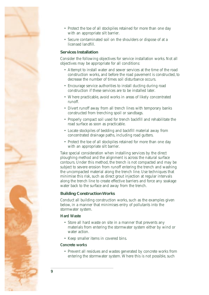

- Protect the toe of all stockpiles retained for more than one day with an appropriate silt barrier.
- Secure contaminated soil on the shoulders or dispose of at a licensed landfill.

### **Services Installation**

Consider the following objectives for service installation works. Not all objectives may be appropriate for all conditions:

- Attempt to install water and sewer services at the time of the road construction works, and before the road pavement is constructed, to decrease the number of times soil disturbance occurs.
- Encourage service authorities to install ducting during road construction if these services are to be installed later.
- Where practicable, avoid works in areas of likely concentrated runoff.
- Divert runoff away from all trench lines with temporary banks constructed from trenching spoil or sandbags.
- • Properly compact soil used for trench backfill and rehabilitate the road surface as soon as practicable.
- Locate stockpiles of bedding and backfill material away from concentrated drainage paths, including road gutters.
- Protect the toe of all stockpiles retained for more than one day with an appropriate silt barrier.

Take special consideration when installing services by the direct ploughing method and the alignment is across the natural surface contours. Under this method, the trench is not compacted and may be subject to severe erosion from runoff entering the trench and washing the uncompacted material along the trench line. Use techniques that minimise this risk, such as direct grout injection at regular intervals along the trench line to create effective barriers and force any soakage water back to the surface and away from the trench.

## **Building Construction Works**

Conduct all building construction works, such as the examples given below, in a manner that minimises entry of pollutants into the stormwater system.

#### **Hard Waste**

- Store all hard waste on site in a manner that prevents any materials from entering the stormwater system either by wind or water action.
- • Keep smaller items in covered bins.

#### **Concrete works**

• Prevent all residues and wastes generated by concrete works from entering the stormwater system. Where this is not possible, such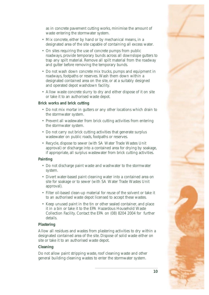

as in concrete pavement cutting works, minimise the amount of waste entering the stormwater system.

- Mix concrete, either by hand or by mechanical means, in a designated area of the site capable of containing all excess water.
- On sites requiring the use of concrete pumps from public roadways, provide temporary bunds across all downslope gutters to trap any spilt material. Remove all spilt material from the roadway and gutter before removing the temporary bunds.
- Do not wash down concrete mix trucks, pumps and equipment in roadways, footpaths or reserves. Wash them down within a designated contained area on the site, or at a suitably designed and operated depot washdown facility.
- Allow waste concrete slurry to dry and either dispose of it on site or take it to an authorised waste depot.

## **Brick works and brick cutting**

- Do not mix mortar in gutters or any other locations which drain to the stormwater system.
- Prevent all wastewater from brick cutting activities from entering the stormwater system.
- Do not carry out brick cutting activities that generate surplus wastewater on public roads, footpaths or reserves.
- Recycle, dispose to sewer (with SA Water Trade Wastes Unit approval) or discharge into a contained area for drying by soakage, if appropriate, all surplus wastewater from brick cutting activities.

## **Painting**

- Do not discharge paint waste and washwater to the stormwater system.
- Divert water-based paint cleaning water into a contained area on site for soakage or to sewer (with SA Water Trade Wastes Unit approval).
- Filter oil-based clean-up material for reuse of the solvent or take it to an authorised waste depot licensed to accept these wastes.
- • Keep unused paint in the tin or other sealed container, and place it in a bin or take it to the EPA Hazardous Household Waste Collection Facility. Contact the EPA on (08) 8204 2004 for further details.

## **Plastering**

Allow all residues and wastes from plastering activities to dry within a designated contained area of the site. Dispose of solid waste either on site or take it to an authorised waste depot.

## **Cleaning**

Do not allow paint stripping waste, roof cleaning waste and other general building cleaning wastes to enter the stormwater system.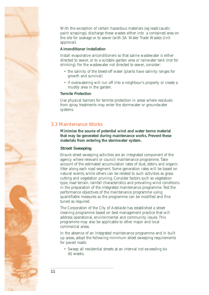<span id="page-15-0"></span>With the exception of certain hazardous materials (eg lead/caustic paint scrapings), discharge these wastes either into a contained area on the site for soakage or to sewer (with SA Water Trade Wastes Unit approval).

#### **Airconditioner Installation**

Install evaporative airconditioners so that saline wastewater is either directed to sewer, or to a suitable garden area or rainwater tank (not for drinking). For the wastewater not directed to sewer, consider:

- the salinity of the bleed-off water (plants have salinity ranges for growth and survival)
- if overwatering will run off into a neighbour's property or create a muddy area in the garden.

#### **Termite Protection**

Use physical barriers for termite protection in areas where residuals from spray treatments may enter the stormwater or groundwater systems.

## **3.3 Maintenance Works**

**Minimise the source of potential wind and water borne material that may be generated during maintenance works. Prevent these materials from entering the stormwater system.** 

### **Street Sweeping**

Ensure street sweeping activities are an integrated component of the agency where relevant or council maintenance programme. Take account of the estimated accumulation rates of dust, debris and organic litter along each road segment. Some generation rates will be based on natural events, while others can be related to such activities as grass cutting and vegetation pruning. Consider factors such as vegetation type, road terrain, rainfall characteristics and prevailing wind conditions in the preparation of the integrated maintenance programme. Test the performance objectives of the maintenance programme using quantifiable measures so the programme can be modified and fine tuned as required.

The Corporation of the City of Adelaide has established a street cleaning programme based on best management practice that will address operational, environmental and community issues. This programme may also be applicable to other major and local commercial areas.

In the absence of an integrated maintenance programme and in built up areas, adopt the following minimum street sweeping requirements for paved roads:

• Sweep all residential streets at an interval not exceeding six (6) weeks.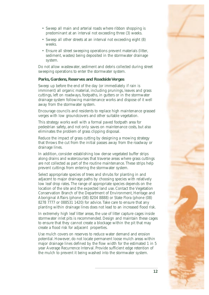- Sweep all main and arterial roads where ribbon shopping is predominant at an interval not exceeding three (3) weeks.
- Sweep all other streets at an interval not exceeding eight  $(8)$ weeks.
- Ensure all street sweeping operations prevent materials (litter, sediment, wastes) being deposited in the stormwater drainage system.

Do not allow wastewater, sediment and debris collected during street sweeping operations to enter the stormwater system.

## **Parks, Gardens, Reserves and Roadside Verges**

Sweep up before the end of the day (or immediately if rain is imminent) all organic material, including prunings, leaves and grass cuttings, left on roadways, footpaths, in gutters or in the stormwater drainage system following maintenance works and dispose of it well away from the stormwater system.

Encourage councils and residents to replace high maintenance grassed verges with low groundcovers and other suitable vegetation.

This strategy works well with a formal paved footpath area for pedestrian safety, and not only saves on maintenance costs, but also eliminates the problem of grass clipping disposal.

Reduce the impact of grass cutting by designing a mowing strategy that throws the cut from the initial passes away from the roadway or drainage lines.

In addition, consider establishing low dense vegetated buffer strips along drains and watercourses that traverse areas where grass cuttings are not collected as part of the routine maintenance. These strips help prevent cuttings from entering the stormwater system.

Select appropriate species of trees and shrubs for planting in and adjacent to major drainage paths by choosing species with relatively low leaf drop rates. The range of appropriate species depends on the location of the site and the expected land use. Contact the Vegetation Conservation Branch of the Department of Environment, Heritage and Aboriginal Affairs (phone (08) 8204 8888) or State Flora (phone (08) 8278 7777 or 088531 1420) for advice. Take care to ensure that any planting within drainage lines does not lead to an increased flood risk.

In extremely high leaf litter areas, the use of litter capture cages inside stormwater inlet pits is recommended. Design and maintain these cages to ensure that they cannot create a blockage within the pit that may create a flood risk for adjacent properties.

Use mulch covers on reserves to reduce water demand and erosion potential. However, do not locate permanent loose mulch areas within major drainage lines defined by the flow width for the estimated 1 in 5 year Average Recurrence Interval. Provide sufficient edge retention of the mulch to prevent it being washed into the stormwater system.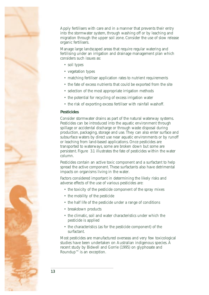Apply fertilisers with care and in a manner that prevents their entry into the stormwater system, through washing off or by leaching and migration through the upper soil zone. Consider the use of slow release organic fertilisers.

Manage large landscaped areas that require regular watering and fertilising under an irrigation and drainage management plan which considers such issues as:

- soil types
- vegetation types
- matching fertiliser application rates to nutrient requirements
- the fate of excess nutrients that could be exported from the site
- selection of the most appropriate irrigation methods
- the potential for recycling of excess irrigation water
- the risk of exporting excess fertiliser with rainfall washoff.

#### **Pesticides**

Consider stormwater drains as part of the natural waterway systems. Pesticides can be introduced into the aquatic environment through spillage or accidental discharge or through waste disposal during production, packaging, storage and use. They can also enter surface and subsurface waters by direct use near aquatic environments or by runoff or leaching from land-based applications. Once pesticides are transported to waterways, some are broken down but some are persistent. Figure 3.1 illustrates the fate of pesticides within the water column.

Pesticides contain an active toxic component and a surfactant to help spread the active component. These surfactants also have detrimental impacts on organisms living in the water.

Factors considered important in determining the likely risks and adverse effects of the use of various pesticides are:

- the toxicity of the pesticide component of the spray mixes
- the mobility of the pesticide
- the half life of the pesticide under a range of conditions
- breakdown products
- the climatic, soil and water characteristics under which the pesticide is applied
- the characteristics (as for the pesticide component) of the surfactant.

Most pesticides are manufactured overseas and very few toxicological studies have been undertaken on Australian indigenous species. A recent study by Bidwell and Gorrie (1995) on glyphosate and Roundup™ is an exception.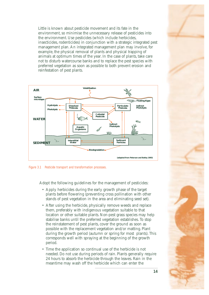Little is known about pesticide movement and its fate in the environment, so minimise the unnecessary release of pesticides into the environment. Use pesticides (which include herbicides, insecticides, rodenticides) in conjunction with a strategic integrated pest management plan. An integrated management plan may involve, for example, the physical removal of plants and physical trapping of animals at optimum times of the year. In the case of plants, take care not to disturb watercourse banks and to replace the pest species with preferred vegetation as soon as possible to both prevent erosion and reinfestation of pest plants.



*Figure 3.1 Pesticide transport and transformation processes.* 

Adopt the following guidelines for the management of pesticides:

- Apply herbicides during the early growth phase of the target plants before flowering (preventing cross pollination with other stands of pest vegetation in the area and eliminating seed set).
- After using the herbicide, physically remove weeds and replace them, preferably with indigenous vegetation suitable to that location or other suitable plants. Non-pest grass species may help stabilise banks until the preferred vegetation establishes. To stop the reinstatement of pest plants, cover the ground as soon as possible with the replacement vegetation and/or matting. Plant during the growth period (autumn or spring for most plants). This corresponds well with spraying at the beginning of the growth period.
- Time the application so continual use of the herbicide is not needed. Do not use during periods of rain. Plants generally require 24 hours to absorb the herbicide through the leaves. Rain in the meantime may wash off the herbicide which can enter the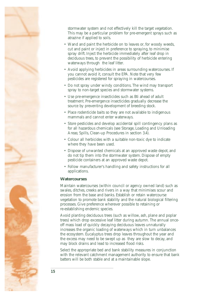

stormwater system and not effectively kill the target vegetation. This may be a particular problem for pre-emergent sprays such as atrazine if applied to soils.

- Wand and paint the herbicide on to leaves or, for woody weeds, cut and paint or inject in preference to spraying, to minimise spray drift. Inject the herbicide immediately after leaf drop in deciduous trees, to prevent the possibility of herbicide entering waterways through the leaf litter.
- Avoid applying herbicides in areas surrounding watercourses. If you cannot avoid it, consult the EPA. Note that very few pesticides are registered for spraying in watercourses.
- Do not spray under windy conditions. The wind may transport spray to non-target species and stormwater systems.
- • Use pre-emergence insecticides such as Bti ahead of adult treatment. Pre-emergence insecticides gradually decrease the source by preventing development of breeding stock.
- Place rodenticide baits so they are not available to indigenous mammals and cannot enter waterways.
- Store pesticides and develop accidental spill contingency plans as for all hazardous chemicals (see Storage, Loading and Unloading Areas; Spills, Clean-up Procedures in section 3.4).
- Colour all herbicides with a suitable non-toxic dye to indicate where they have been used.
- • Dispose of unwanted chemicals at an approved waste depot, and do not tip them into the stormwater system. Dispose of empty pesticide containers at an approved waste depot.
- Follow manufacturer's handling and safety instructions for all applications.

## **Watercourses**

Maintain watercourses (within council or agency owned land) such as swales, ditches, creeks and rivers in a way that minimises scour and erosion from the base and banks. Establish or retain watercourse vegetation to promote bank stability and the natural biological filtering processes. Give preference wherever possible to retaining or re-establishing endemic species.

Avoid planting deciduous trees (such as willow, ash, plane and poplar trees) which drop excessive leaf litter during autumn. The annual onceoff mass load of quickly decaying deciduous leaves unnaturally increases the organic loading of waterways which in turn unbalances the ecosystem. Eucalyptus trees drop leaves throughout the year and the excess may need to be swept up as they are slow to decay, and may block drains and lead to increased flood risks.

Select the appropriate bed and bank stability measures in conjunction with the relevant catchment management authority to ensure that bank batters will be both stable and at a maintainable slope.

**15**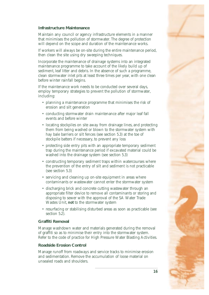

#### **Infrastructure Maintenance**

Maintain any council or agency infrastructure elements in a manner that minimises the pollution of stormwater. The degree of protection will depend on the scope and duration of the maintenance works.

If workers will always be on-site during the entire maintenance period, then clean the site using dry sweeping techniques.

Incorporate the maintenance of drainage systems into an integrated maintenance programme to take account of the likely build up of sediment, leaf litter and debris. In the absence of such a programme, clean stormwater inlet pits at least three times per year, with one clean before winter rainfall begins.

If the maintenance work needs to be conducted over several days, employ temporary strategies to prevent the pollution of stormwater, including:

- planning a maintenance programme that minimises the risk of erosion and silt generation
- conducting stormwater drain maintenance after major leaf fall events and before winter
- locating stockpiles on site away from drainage lines, and protecting them from being washed or blown to the stormwater system with hay bale barriers or silt fences (see section 5.3) at the toe of stockpile batters if necessary, to prevent any loss
- protecting side entry pits with an appropriate temporary sediment trap during the maintenance period if excavated material could be washed into the drainage system (see section 5.3)
- constructing temporary sediment traps within watercourses where the prevention of the entry of silt and sediment is not practicable (see section 5.3)
- servicing and cleaning up on-site equipment in areas where contaminants or wastewater cannot enter the stormwater system
- discharging brick and concrete cutting wastewater through an appropriate filter device to remove all contaminants or storing and disposing to sewer with the approval of the SA Water Trade Wastes Unit, **not** to the stormwater system
- resurfacing or stabilising disturbed areas as soon as practicable (see section 5.2).

## **Graffiti Removal**

Manage washdown water and materials generated during the removal of graffiti so as to minimise their entry into the stormwater system. Refer to the code of practice for High Pressure Water Blasting Activities.

#### **Roadside Erosion Control**

Manage runoff from roadways and service tracks to minimise erosion and sedimentation. Remove the accumulation of loose material on unsealed roads and shoulders.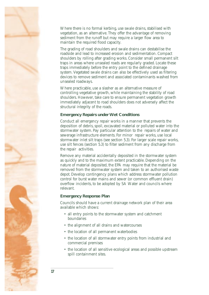Where there is no formal kerbing, use swale drains, stabilised with vegetation, as an alternative. They offer the advantage of removing sediment from the runoff but may require a larger flow area to maintain the required flood capacity.

The grading of road shoulders and swale drains can destabilise the roadside and lead to increased erosion and sedimentation. Compact shoulders by rolling after grading works. Consider small permanent silt traps in areas where unsealed roads are regularly graded. Locate these traps immediately before the entry point to the defined drainage system. Vegetated swale drains can also be effectively used as filtering devices to remove sediment and associated contaminants washed from unsealed roadways.

Where practicable, use a slasher as an alternative measure of controlling vegetative growth, while maintaining the stability of road shoulders. However, take care to ensure permanent vegetation growth immediately adjacent to road shoulders does not adversely affect the structural integrity of the roads.

#### **Emergency Repairs under Wet Conditions**

Conduct all emergency repair works in a manner that prevents the deposition of debris, spoil, excavated material or polluted water into the stormwater system. Pay particular attention to the repairs of water and sewerage infrastructure elements. For minor repair works, use local stormwater inlet silt traps (see section 5.3). For larger scale repair works, use silt fences (section 5.3) to filter sediment from any discharge from the repair activities.

Remove any material accidentally deposited in the stormwater system as quickly and to the maximum extent practicable. Depending on the nature of material deposited, the EPA may require that the material be removed from the stormwater system and taken to an authorised waste depot. Develop contingency plans which address stormwater pollution control for burst water mains and sewer (or common effluent drain) overflow incidents, to be adopted by SA Water and councils where relevant.

#### **Emergency Response Plan**

Councils should have a current drainage network plan of their area available which shows:

- all entry points to the stormwater system and catchment boundaries
- the alignment of all drains and watercourses
- the location of all permanent waterbodies
- the location of all stormwater entry points from industrial and commercial premises
- the location of all sensitive ecological areas and possible upstream spill containment sites.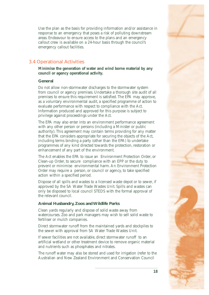<span id="page-22-0"></span>Use the plan as the basis for providing information and/or assistance in response to an emergency that poses a risk of polluting downstream areas. Endeavour to ensure access to the plans and an emergency callout crew is available on a 24-hour basis through the council's emergency callout facilities.

## **3.4 Operational Activities**

**Minimise the generation of water and wind borne material by any council or agency operational activity.** 

## **General**

Do not allow non-stormwater discharges to the stormwater system from council or agency premises. Undertake a thorough site audit of all premises to ensure this requirement is satisfied. The EPA may approve, as a voluntary environmental audit, a specified programme of action to evaluate performance with respect to compliance with the Act. Information produced and approved for this purpose is subject to privilege against proceedings under the Act.

The EPA may also enter into an environment performance agreement with any other person or persons (including a Minister or public authority). This agreement may contain terms providing for any matter that the EPA considers appropriate for securing the objects of the Act, including terms binding a party (other than the EPA) to undertake programmes of any kind directed towards the protection, restoration or enhancement of any part of the environment.

The Act enables the EPA to issue an Environment Protection Order, or Clean-up Order, to secure compliance with an EPP or the duty to prevent or minimise environmental harm. An Environment Protection Order may require a person, or council or agency, to take specified action within a specified period.

Dispose of all spills and wastes to a licensed waste depot or to sewer, if approved by the SA Water Trade Wastes Unit. Spills and wastes can only be disposed to local council STEDS with the formal approval of the relevant council.

## **Animal Husbandry, Zoos and Wildlife Parks**

Clean yards regularly and dispose of solid waste away from watercourses. Zoo and park managers may wish to sell solid waste to fertiliser or mulch companies.

Direct stormwater runoff from the maintained yards and stockpiles to the sewer with approval from SA Water Trade Wastes Unit.

If sewer facilities are not available, direct stormwater runoff to an artificial wetland or other treatment device to remove organic material and nutrients such as phosphates and nitrates.

The runoff water may also be stored and used for irrigation (refer to the Australian and New Zealand Environment and Conservation Council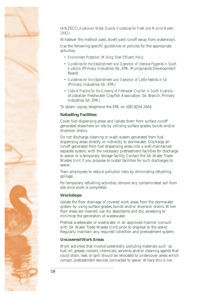

## (ANZECC) *Australian Water Quality Guidelines for Fresh and Marine Waters 1992*).

Whatever the method used, divert yard runoff away from waterways.

Use the following specific guidelines or policies for the appropriate activities:

- • *Environment Protection (Milking Shed Effluent) Policy*
- • *Guidelines for the Establishment and Operation of Intensive Piggeries in South Australia* (Primary Industries SA, EPA, Murraylands Development Board)
- • *Guidelines for the Establishment and Operation of Cattle Feedlots in SA*  (Primary Industries SA, EPA)
- • *Code of Practice for the Growing of Freshwater Crayfish in South Australia*  (Australian Freshwater Crayfish Association, SA Branch, Primary Industries SA, EPA)

To obtain copies, telephone the EPA on (08) 8204 2004.

## **Refuelling Facilities**

Cover fuel dispensing areas and isolate them from surface runoff generated elsewhere on site by utilising surface grades, bunds and/or diversion drains.

Do not discharge cleaning or wash waters generated from fuel dispensing areas directly or indirectly to stormwater. Discharge all runoff generated from fuel dispensing areas into a well-maintained separate system, with the necessary pretreatment facilities for discharge to sewer or a temporary storage facility. Contact the SA Water Trade Wastes Unit if you propose to install facilities for such discharges to sewer.

Train employees to reduce pollution risks by eliminating refuelling spillage.

For temporary refuelling activities, remove any contaminated soil from site once work is completed.

## **Workshops**

Isolate the floor drainage of covered work areas from the stormwater system by using surface grades, bunds and/or diversion drains. When floor areas are cleaned, use dry absorbents and dry sweeping to minimise the generation of wastewater.

Pretreat wastewater or washwater in an approved manner (consult with SA Water Trade Wastes Unit) prior to disposal to the sewer. Regularly maintain any required collection and pretreatment system.

## **Uncovered Work Areas**

Work activities that involve potentially polluting materials such as fuel, oil, grease, coolant, chemicals, solvents and/or cleaning agents that could drain, leak or spill should be relocated to undercover areas which contain pretreatment devices connected to sewer. Where this is not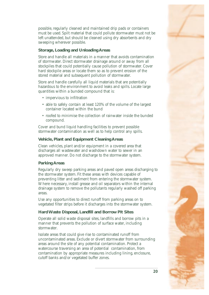

possible, regularly cleaned and maintained drip pads or containers must be used. Spilt material that could pollute stormwater must not be left unattended, but should be cleaned using dry absorbents and dry sweeping wherever possible.

## **Storage, Loading and Unloading Areas**

Store and handle all materials in a manner that avoids contamination of stormwater. Direct stormwater drainage around or away from all stockpiles that could potentially cause pollution of stormwater. Cover hard stockpile areas or locate them so as to prevent erosion of the stored material and subsequent pollution of stormwater.

Store and handle carefully all liquid materials that are potentially hazardous to the environment to avoid leaks and spills. Locate large quantities within a bunded compound that is:

- impervious to infiltration
- able to safely contain at least 120% of the volume of the largest container located within the bund
- roofed to minimise the collection of rainwater inside the bunded compound.

Cover and bund liquid handling facilities to prevent possible stormwater contamination as well as to help control any spills.

## **Vehicle, Plant and Equipment Cleaning Areas**

Clean vehicles, plant and/or equipment in a covered area that discharges all wastewater and washdown water to sewer in an approved manner. Do not discharge to the stormwater system.

## **Parking Areas**

Regularly dry sweep parking areas and paved open areas discharging to the stormwater system. Fit these areas with devices capable of preventing litter and sediment from entering the stormwater system. Where necessary, install grease and oil separators within the internal drainage system to remove the pollutants regularly washed off parking areas.

Use any opportunities to direct runoff from parking areas on to vegetated filter strips before it discharges into the stormwater system.

## **Hard Waste Disposal, Landfill and Borrow Pit Sites**

Operate all solid waste disposal sites, landfills and borrow pits in a manner that prevents the pollution of surface water, including stormwater.

Isolate areas that could give rise to contaminated runoff from uncontaminated areas. Exclude or divert stormwater from surrounding areas around the site of any potential contamination. Protect a watercourse traversing an area of potential contamination, from contamination by appropriate measures including lining, enclosure, cutoff banks and/or vegetated buffer zones.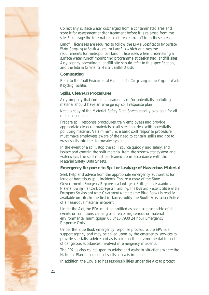

Collect any surface water discharged from a contaminated area and store it for assessment and/or treatment before it is released from the site. Encourage the internal reuse of treated runoff from these areas.

Landfill licensees are required to follow the EPA's S*pecification for Surface Water Sampling at South Australian Landfills* which outlines the requirements for metropolitan landfill licensees when undertaking a surface water runoff monitoring programme at designated landfill sites. Any agency operating a landfill site should refer to this specification, and the *Interim Criteria for Major Landfill Depots.* 

## **Composting**

Refer to the *Draft Environmental Guidelines for Composting and/or Organic Waste Recycling Facilities.* 

## **Spills, Clean-up Procedures**

Any property that contains hazardous and/or potentially polluting material should have an emergency spill response plan.

Keep a copy of the Material Safety Data Sheets readily available for all materials on site.

Prepare spill response procedures, train employees and provide appropriate clean-up materials at all sites that deal with potentially polluting material. As a minimum, a basic spill response procedure must make employees aware of the need to contain spills and not to wash spills into the stormwater system.

In the event of a spill, stop the spill source quickly and safely, and isolate and contain the spilt material from the stormwater system and waterways. The spill must be cleaned up in accordance with the Material Safety Data Sheets.

#### **Emergency Response to Spill or Leakage of Hazardous Material**

Seek help and advice from the appropriate emergency authorities for large or hazardous spill incidents. Ensure a copy of the State Government's *Emergency Response to a Leakage or Spillage of a Hazardous Material during Transport, Storage or Handling: The Role and Responsibilities of the Emergency Services and other Government Agencies* (the Blue Book) is readily available on site. In the first instance, notify the South Australian Police of a hazardous material incident.

Under the Act, the EPA must be notified as soon as practicable of all events or conditions causing or threatening serious or material environmental harm (pager 08 8415 7930 24 hour Emergency Response Only).

Under the Blue Book emergency response procedure, the EPA is a support agency and may be called upon by the emergency services to provide specialist advice and assistance on the environmental impact of dangerous substances involved in emergency incidents.

The EPA is also called upon to advise and assist in situations where the National Plan to combat oil spills at sea is initiated.

In addition, the EPA also has responsibilities under the Act to protect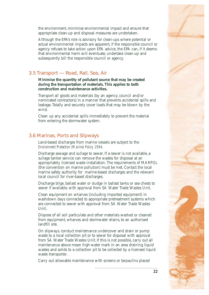<span id="page-26-0"></span>the environment, minimise environmental impact and ensure that appropriate clean-up and disposal measures are undertaken.

Although the EPA's role is advisory for clean-ups where potential or actual environmental impacts are apparent, if the responsible council or agency refuses to take action upon EPA advice, the EPA can, if it deems that environmental harm will eventuate, undertake clean-up and subsequently bill the responsible council or agency.

## **3.5 Transport — Road, Rail, Sea, Air**

**Minimise the quantity of pollutant source that may be created during the transportation of materials. This applies to both construction and maintenance activities.** 

Transport all goods and materials (by an agency, council and/or nominated contractors) in a manner that prevents accidental spills and leakage. Totally and securely cover loads that may be blown by the wind.

Clean up any accidental spills immediately to prevent the material from entering the stormwater system.

## **3.6 Marinas, Ports and Slipways**

Land-based discharges from marine vessels are subject to the *Environment Protection (Marine) Policy 1994.* 

Discharge sewage and sullage to sewer. If a sewer is not available, a sullage tanker service can remove the wastes for disposal at an appropriately licensed waste installation. The requirements of MARPOL (the convention on marine pollution) must be met. Contact the local marine safety authority for marine-based discharges and the relevant local council for river-based discharges.

Discharge bilge, ballast water or sludge in ballast tanks or sea chests to sewer if available, with approval from SA Water Trade Wastes Unit.

Clean equipment on wharves (including imported equipment) in washdown bays connected to appropriate pretreatment systems which are connected to sewer with approval from SA Water Trade Wastes Unit.

Dispose of all soil particulate and other materials washed or cleaned from equipment, wharves and stormwater drains, to an authorised landfill site.

On slipways, conduct maintenance undercover and drain or pump waste to a local collection pit or to sewer for disposal with approval from SA Water Trade Wastes Unit. If this is not possible, carry out all maintenance above mean high-water mark in an area draining liquid wastes and solids to a collection pit to be collected by a licensed liquid waste transporter.

Carry out allowable maintenance with screens or tarpaulins placed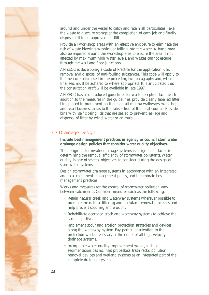<span id="page-27-0"></span>around and under the vessel to catch and retain all particulates. Take the waste to a secure storage at the completion of each job and finally dispose of it to an approved landfill.

Provide all workshop areas with an effective enclosure to eliminate the risk of waste blowing, washing or falling into the water. A bund may also be required around the workshop area to ensure the area is not affected by maximum high water levels, and wastes cannot escape through the wall and floor junctions.

ANZECC is developing a Code of Practice for the application, use, removal and disposal of anti-fouling substances. This code will apply to the measures discussed in the preceding two paragraphs and, when finalised, must be adhered to where appropriate. It is anticipated that the consultation draft will be available in late 1997.

ANZECC has also produced guidelines for waste reception facilities. In addition to the measures in the guidelines, provide clearly labelled litter bins placed in prominent positions on all marina walkways, workshop and retail business areas to the satisfaction of the local council. Provide bins with self closing lids that are sealed to prevent leakage and dispersal of litter by wind, water or animals.

## **3.7 Drainage Design**

**Include best management practices in agency or council stormwater drainage design policies that consider water quality objectives.** 

The design of stormwater drainage systems is a significant factor in determining the removal efficiency of stormwater pollutants. Water quality is one of several objectives to consider during the design of stormwater systems.

Design stormwater drainage systems in accordance with an integrated and total catchment management policy, and incorporate best management practices.

Works and measures for the control of stormwater pollution vary between catchments. Consider measures such as the following:

- Retain natural creek and waterway systems wherever possible to promote the natural filtering and pollutant removal processes and help prevent scouring and erosion.
- • Rehabilitate degraded creek and waterway systems to achieve the same objective.
- Implement scour and erosion protection strategies and devices along the waterway system. Pay particular attention to the protection works necessary at the outlet of all high velocity drainage systems.
- Incorporate water quality improvement works, such as sedimentation basins, inlet pit baskets, trash racks, pollution removal devices and wetland systems as an integrated part of the complete drainage system.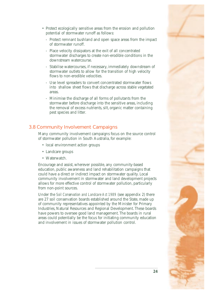

- <span id="page-28-0"></span>• Protect ecologically sensitive areas from the erosion and pollution potential of stormwater runoff as follows:
	- Protect remnant bushland and open space areas from the impact of stormwater runoff.
	- Place velocity dissipators at the exit of all concentrated stormwater discharges to create non-erodible conditions in the downstream watercourse.
	- Stabilise watercourses, if necessary, immediately downstream of stormwater outlets to allow for the transition of high velocity flows to non-erodible velocities.
	- Use level spreaders to convert concentrated stormwater flows into shallow sheet flows that discharge across stable vegetated areas.
	- Minimise the discharge of all forms of pollutants from the stormwater before discharge into the sensitive areas, including the removal of excess nutrients, silt, organic matter containing pest species and litter.

## **3.8 Community Involvement Campaigns**

Many community involvement campaigns focus on the source control of stormwater pollution in South Australia, for example:

- local environment action groups
- Landcare groups
- Waterwatch.

Encourage and assist, wherever possible, any community-based education, public awareness and land rehabilitation campaigns that could have a direct or indirect impact on stormwater quality. Local community involvement in stormwater and land development projects allows for more effective control of stormwater pollution, particularly from non-point sources.

Under the *Soil Conservation and Landcare Act 1989* (see appendix 2) there are 27 soil conservation boards established around the State, made up of community representatives appointed by the Minister for Primary Industries, Natural Resources and Regional Development. These boards have powers to oversee good land management. The boards in rural areas could potentially be the focus for initiating community education and involvement in issues of stormwater pollution control.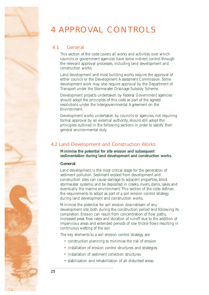## <span id="page-29-0"></span>4 APPROVAL CONTROLS

## **4.1 General**

This section of the code covers all works and activities over which councils or government agencies have some indirect control through the relevant approval processes, including land development and construction works.

Land development and most building works require the approval of either council or the Development Assessment Commission. Some development work may also require approval by the Department of Transport under the Stormwater Drainage Subsidy Scheme.

Development projects undertaken by Federal Government agencies should adopt the principles of this code as part of the agreed resolutions under the Intergovernmental Agreement on the Environment.

Development works undertaken by councils or agencies, not requiring formal approval by an external authority, should still adopt the principles outlined in the following sections in order to satisfy their general environmental duty.

## **4.2 Land Development and Construction Works**

**Minimise the potential for site erosion and subsequent sedimentation during land development and construction works.** 

## **General**

Land development is the most critical stage for the generation of sediment pollution. Sediment eroded from development and construction sites can cause damage to adjacent properties, block stormwater systems, and be deposited in creeks, rivers, dams, lakes and eventually the marine environment. This section of the code defines the requirements to adopt as part of a soil erosion control strategy during land development and construction works.

Minimise the potential for soil erosion downstream of any development site, both during the construction period and following its completion. Erosion can result from concentration of flow paths, increased peak flow rates and duration of runoff due to the addition of impervious areas and extended periods of low trickle flows resulting in continuous wetting of the soil.

The key elements to a soil erosion control strategy are:

- construction planning to minimise the risk of erosion
- installation of erosion control structures and strategies
- installation of sediment collection structures
- stabilisation and rehabilitation of all disturbed areas.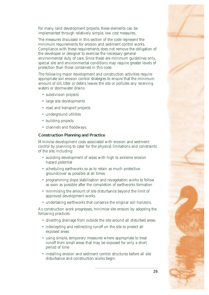For many land development projects, these elements can be implemented through relatively simple, low cost measures.

The measures discussed in this section of the code represent the minimum requirements for erosion and sediment control works. Compliance with these requirements does not remove the obligation of the developer or designer to exercise the necessary general environmental duty of care. Since these are minimum guidelines only, special site and environmental conditions may require greater levels of protection than those contained in this code.

The following major development and construction activities require appropriate soil erosion control strategies to ensure that the minimum amount of silt, litter or debris leaves the site or pollutes any receiving waters or stormwater drains:

- subdivision projects
- large site developments
- road and transport projects
- underground utilities
- building projects
- channels and floodways.

## **Construction Planning and Practice**

Minimise development costs associated with erosion and sediment control by planning to cater for the physical limitations and constraints of the site, including:

- avoiding development of areas with high to extreme erosion hazard potential
- scheduling earthworks so as to retain as much protective groundcover as possible at all times
- programming slope stabilisation and revegetation works to follow as soon as possible after the completion of earthworks formation
- minimising the amount of site disturbance beyond the limit of approved development works
- undertaking earthworks that conserve the original soil horizons.

As construction work progresses, minimise site erosion by adopting the following practices:

- diverting drainage from outside the site around all disturbed areas
- intercepting and redirecting runoff on the site to protect all exposed areas
- using simple, temporary measures where appropriate to treat runoff from small areas that may be exposed for only a short period of time
- installing erosion and sediment control structures before all site disturbance and construction works begin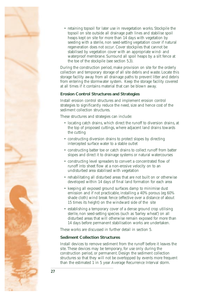

• retaining topsoil for later use in revegetation works. Stockpile the topsoil on site outside all drainage path lines and stabilise spoil heaps kept on site for more than 14 days with vegetation by seeding with a sterile, non seed-setting vegetation cover if natural regeneration does not occur. Cover stockpiles that cannot be stabilised by vegetation cover with an appropriate wind- and waterproof membrane. Surround all spoil heaps by a silt fence at the toe of the stockpile (see section 5.3).

During the construction period, make provision on site for the orderly collection and temporary storage of all site debris and waste. Locate this storage facility away from all drainage paths to prevent litter and debris from entering the stormwater system. Keep the storage facility covered at all times if it contains material that can be blown away.

## **Erosion Control Structures and Strategies**

Install erosion control structures and implement erosion control strategies to significantly reduce the need, size and hence cost of the sediment collection structures.

These structures and strategies can include:

- locating catch drains, which direct the runoff to diversion drains, at the top of proposed cuttings, where adjacent land drains towards the cutting
- • constructing diversion drains to protect slopes by directing intercepted surface water to a stable outlet
- constructing batter toe or catch drains to collect runoff from batter slopes and direct it to drainage systems or natural watercourses
- • constructing level spreaders to convert a concentrated flow of runoff into sheet flow at a non-erosive velocity on to an undisturbed area stabilised with vegetation
- rehabilitating all disturbed areas that are not built on or otherwise developed within 14 days of final land formation for each area
- keeping all exposed ground surfaces damp to minimise dust emission and if not practicable, installing a 40% porous (eg 60% shade cloth) wind break fence (effective over a distance of about 15 times its height) on the windward side of the site
- establishing a temporary cover of a dense ground crop utilising sterile, non seed-setting species (such as 'barley wheat') on all disturbed areas that will otherwise remain exposed for more than 14 days before permanent stabilisation works are undertaken.

These works are discussed in further detail in section 5.

## **Sediment Collection Structures**

Install devices to remove sediment from the runoff before it leaves the site. These devices may be temporary, for use only during the construction period, or permanent. Design the sediment collection structures so that they will not be overtopped by events more frequent than the estimated 1 in 5 year Average Recurrence Interval storm.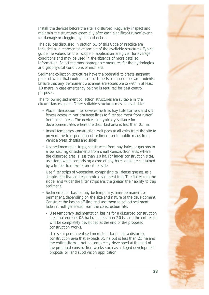Install the devices before the site is disturbed. Regularly inspect and maintain the structures, especially after each significant runoff event, for damage or clogging by silt and debris.

The devices discussed in section 5.3 of this Code of Practice are included as a representative sample of the available structures. Typical guideline values for their scope of application are given for average conditions and may be used in the absence of more detailed information. Select the most appropriate measures for the hydrological and geophysical conditions of each site.

Sediment collection structures have the potential to create stagnant pools of water that could attract such pests as mosquitoes and rodents. Ensure that any permanent wet areas are accessible to within at least 1.0 metre in case emergency baiting is required for pest control purposes.

The following sediment collection structures are suitable in the circumstances given. Other suitable structures may be available:

- Place interception filter devices such as hay bale barriers and silt fences across minor drainage lines to filter sediment from runoff from small areas. The devices are typically suitable for development sites where the disturbed area is less than 0.5 ha.
- Install temporary construction exit pads at all exits from the site to prevent the transportation of sediment on to public roads from vehicle tyres, chassis and sides.
- Use sedimentation traps, constructed from hay bales or gabions to allow settling of sediments from small construction sites where the disturbed area is less than 1.0 ha. For larger construction sites, use stone weirs comprising a core of hay bales or stone contained by a timber framework on either side.
- Use filter strips of vegetation, comprising tall dense grasses, as a simple, effective and economical sediment trap. The flatter (ground slope) and wider the filter strips are, the greater their ability to trap sediment.
- Sedimentation basins may be temporary, semi-permanent or permanent, depending on the size and nature of the development. Construct the basins off-line and use them to collect sediment laden runoff generated from the construction site.
	- Use temporary sedimentation basins for a disturbed construction area that exceeds 0.5 ha but is less than 2.0 ha and the entire site will be completely developed at the end of the proposed construction works.
	- Use semi-permanent sedimentation basins for a disturbed construction area that exceeds 0.5 ha but is less than 2.0 ha and the entire site will not be completely developed at the end of the proposed construction works, such as a staged development proposal or land subdivision application.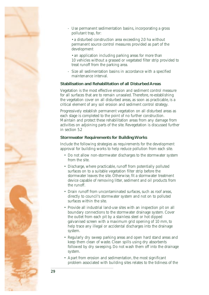

- Use permanent sedimentation basins, incorporating a gross pollutant trap, for:
	- a disturbed construction area exceeding 2.0 ha without permanent source control measures provided as part of the development
	- an application including parking areas for more than 10 vehicles without a grassed or vegetated filter strip provided to treat runoff from the parking area.
- Size all sedimentation basins in accordance with a specified maintenance interval.

## **Stabilisation and Rehabilitation of all Disturbed Areas**

Vegetation is the most effective erosion and sediment control measure for all surfaces that are to remain unsealed. Therefore, re-establishing the vegetation cover on all disturbed areas, as soon as practicable, is a critical element of any soil erosion and sediment control strategy.

Progressively establish permanent vegetation on all disturbed areas as each stage is completed to the point of no further construction. Maintain and protect these rehabilitation areas from any damage from activities on adjoining parts of the site. Revegetation is discussed further in section 5.2

## **Stormwater Requirements for Building Works**

Include the following strategies as requirements for the development approval for building works to help reduce pollution from each site.

- Do not allow non-stormwater discharges to the stormwater system from the site.
- Discharge, where practicable, runoff from potentially polluted surfaces on to a suitable vegetation filter strip before the stormwater leaves the site. Otherwise, fit a stormwater treatment device capable of removing litter, sediment and oil products from the runoff.
- Drain runoff from uncontaminated surfaces, such as roof areas, directly to council's stormwater system and not on to polluted surfaces within the site.
- • Provide all industrial land-use sites with an inspection pit on all boundary connections to the stormwater drainage system. Cover the outlet from each pit by a stainless steel or hot dipped galvanised screen with a maximum grid opening of 10 mm, to help trace any illegal or accidental discharges into the drainage system.
- Regularly dry sweep parking areas and open hard stand areas and keep them clean of waste. Clean spills using dry absorbents followed by dry sweeping. Do not wash them off into the drainage system.
- • Apart from erosion and sedimentation, the most significant problem associated with building sites relates to the tidiness of the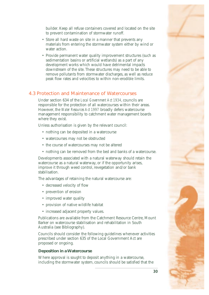<span id="page-34-0"></span>builder. Keep all refuse containers covered and located on the site to prevent contamination of stormwater runoff.

- Store all hard waste on site in a manner that prevents any materials from entering the stormwater system either by wind or water action.
- Provide permanent water quality improvement structures (such as sedimentation basins or artificial wetlands) as a part of any development works which would have detrimental impacts downstream of the site. These structures may need to be able to remove pollutants from stormwater discharges, as well as reduce peak flow rates and velocities to within non-erodible limits.

## **4.3 Protection and Maintenance of Watercourses**

Under section 634 of the *Local Government Act 1934*, councils are responsible for the protection of all watercourses within their areas. However, the *Water Resources Act 1997* broadly defers watercourse management responsibility to catchment water management boards where they exist.

Unless authorisation is given by the relevant council:

- nothing can be deposited in a watercourse
- watercourses may not be obstructed
- the course of watercourses may not be altered
- nothing can be removed from the bed and banks of a watercourse.

Developments associated with a natural waterway should retain the watercourse as a natural waterway, or if the opportunity arises, improve it through weed control, revegetation and/or bank stabilisation.

The advantages of retaining the natural watercourse are:

- decreased velocity of flow
- prevention of erosion
- improved water quality
- • provision of native wildlife habitat
- increased adjacent property values.

Publications are available from the Catchment Resource Centre, Mount Barker on watercourse stabilisation and rehabilitation in South Australia (see Bibliography).

Councils should consider the following guidelines whenever activities prescribed under section 635 of the Local Government Act are proposed or ongoing.

## **Deposition in a Watercourse**

Where approval is sought to deposit anything in a watercourse, including the stormwater system, councils should be satisfied that the

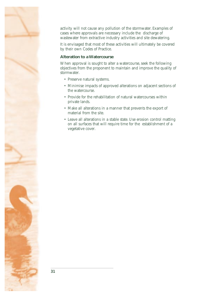activity will not cause any pollution of the stormwater. Examples of cases where approvals are necessary include the discharge of wastewater from extractive industry activities and site dewatering.

It is envisaged that most of these activities will ultimately be covered by their own Codes of Practice.

## **Alteration to a Watercourse**

When approval is sought to alter a watercourse, seek the following objectives from the proponent to maintain and improve the quality of stormwater.

- Preserve natural systems.
- • Minimise impacts of approved alterations on adjacent sections of the watercourse.
- Provide for the rehabilitation of natural watercourses within private lands.
- Make all alterations in a manner that prevents the export of material from the site.
- Leave all alterations in a stable state. Use erosion control matting on all surfaces that will require time for the establishment of a vegetative cover.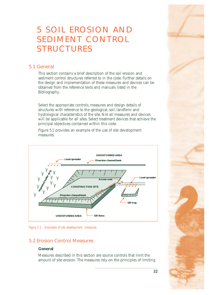## <span id="page-36-0"></span>5 SOIL EROSION AND SEDIMENT CONTROL STRUCTURES

## **5.1 General**

This section contains a brief description of the soil erosion and sediment control structures referred to in the code. Further details on the design and implementation of these measures and devices can be obtained from the reference texts and manuals listed in the Bibliography.

Select the appropriate controls, measures and design details of structures with reference to the geological, soil, landform and hydrological characteristics of the site. Not all measures and devices will be applicable for all sites. Select treatment devices that achieve the principal objectives contained within this code.

Figure 5.1 provides an example of the use of site development measures.



*Figure 5.1 Examples of site development measures.* 

## **5.2 Erosion Control Measures**

## **General**

Measures described in this section are source controls that limit the amount of site erosion. The measures rely on the principles of limiting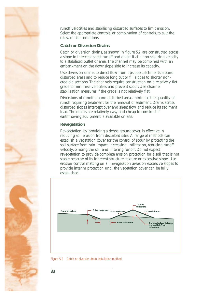

runoff velocities and stabilising disturbed surfaces to limit erosion. Select the appropriate controls, or combination of controls, to suit the relevant site conditions.

## **Catch or Diversion Drains**

Catch or diversion drains, as shown in figure 5.2, are constructed across a slope to intercept sheet runoff and divert it at a non-scouring velocity to a stabilised outlet or area. The channel may be combined with an embankment on the downslope side to increase its capacity.

Use diversion drains to direct flow from upslope catchments around disturbed areas and to reduce long cut or fill slopes to shorter nonerodible sections. The channels require construction on a relatively flat grade to minimise velocities and prevent scour. Use channel stabilisation measures if the grade is not relatively flat.

Diversions of runoff around disturbed areas minimise the quantity of runoff requiring treatment for the removal of sediment. Drains across disturbed slopes intercept overland sheet flow and reduce its sediment load. The drains are relatively easy and cheap to construct if earthmoving equipment is available on site.

## **Revegetation**

Revegetation, by providing a dense groundcover, is effective in reducing soil erosion from disturbed sites. A range of methods can establish a vegetation cover for the control of scour by protecting the soil surface from rain impact, increasing infiltration, reducing runoff velocity, binding the soil and filtering runoff. Do not expect revegetation to provide complete erosion protection for a soil that is not stable because of its inherent structure, texture or excessive slope. Use erosion control matting on all revegetation areas on excessive slopes to provide interim protection until the vegetation cover can be fully established.





**33**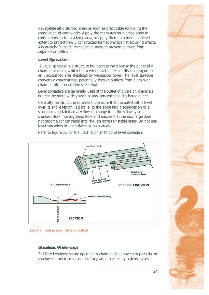Revegetate all disturbed areas as soon as practicable following the completion of earthworks. Apply the measures on a broad scale to control erosion from a large area, or apply them to a more localised extent to protect newly constructed formations against scouring effects. Adequately fence all revegetation areas to prevent damage from adjacent activities.

## **Level Spreaders**

A level spreader is a structure built across the slope at the outlet of a channel or drain, which has a wide level outlet sill discharging on to an undisturbed area stabilised by vegetation cover. The level spreader converts a concentrated, potentially erosive outflow from a drain or channel into non-erosive sheet flow.

Level spreaders are generally used at the outlet of diversion channels but can be more widely used at any concentrated discharge outlet.

Carefully construct the spreaders to ensure that the outlet sill is level over its entire length, is parallel to the slope and discharges on to a stabilised vegetated area. Allow discharge from the sill only as a shallow, slow moving sheet flow and ensure that the discharge does not become concentrated into rivulets across unstable areas. Do not use level spreaders in potential flow path areas.

Refer to figure 5.3 for the installation method of level spreaders.



*Figure 5.3 Level spreader installation method.* 

## **Stabilised Waterways**

Stabilised waterways are open earth channels that have a trapezoidal or shallow rounded cross section. They are protected by a dense grass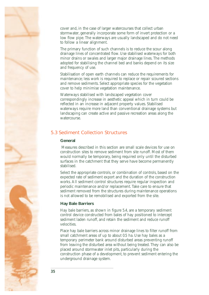<span id="page-39-0"></span>cover and, in the case of larger watercourses that collect urban stormwater, generally incorporate some form of invert protection or a low flow pipe. The waterways are usually landscaped and do not need to follow a linear alignment.

The primary function of such channels is to reduce the scour along drainage lines of concentrated flow. Use stabilised waterways for both minor drains or swales and larger major drainage lines. The methods adopted for stabilising the channel bed and banks depend on its size and frequency of use.

Stabilisation of open earth channels can reduce the requirements for maintenance; less work is required to replace or repair scoured sections and remove sediments. Select appropriate species for the vegetation cover to help minimise vegetation maintenance.

Waterways stabilised with landscaped vegetation cover correspondingly increase in aesthetic appeal which in turn could be reflected in an increase in adjacent property values. Stabilised waterways require more land than conventional drainage systems but landscaping can create active and passive recreation areas along the watercourse.

## **5.3 Sediment Collection Structures**

#### **General**

Measures described in this section are small scale devices for use on construction sites to remove sediment from site runoff. Most of them would normally be temporary, being required only until the disturbed surfaces in the catchment that they serve have become permanently stabilised.

Select the appropriate controls, or combination of controls, based on the expected rate of sediment export and the duration of the construction works. All sediment control structures require regular inspection and periodic maintenance and/or replacement. Take care to ensure that sediment removed from the structures during maintenance operations is not allowed to be remobilised and exported from the site.

#### **Hay Bale Barriers**

Hay bale barriers, as shown in figure 5.4, are a temporary sediment control device constructed from bales of hay positioned to intercept sediment laden runoff, and retain the sediment and reduce runoff velocities.

Place hay bale barriers across minor drainage lines to filter runoff from small catchment areas of up to about 0.5 ha. Use hay bales as a temporary perimeter bank around disturbed areas preventing runoff from leaving the disturbed area without being treated. They can also be placed around stormwater inlet pits, particularly during the construction phase of a development, to prevent sediment entering the underground drainage system.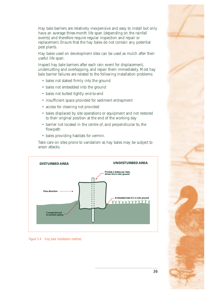Hay bale barriers are relatively inexpensive and easy to install but only have an average three-month life span (depending on the rainfall events) and therefore require regular inspection and repair or replacement. Ensure that the hay bales do not contain any potential pest plants.

Hay bales used on development sites can be used as mulch after their useful life span.

Inspect hay bale barriers after each rain event for displacement, undercutting and overtopping, and repair them immediately. Most hay bale barrier failures are related to the following installation problems:

- bales not staked firmly into the ground
- bales not embedded into the ground
- bales not butted tightly end-to-end
- insufficient space provided for sediment entrapment
- access for cleaning not provided
- bales displaced by site operations or equipment and not restored to their original position at the end of the working day
- barrier not located in the centre of, and perpendicular to, the flowpath
- • bales providing habitats for vermin.

Take care on sites prone to vandalism as hay bales may be subject to arson attacks.



*Figure 5.4 Hay bale installation method.*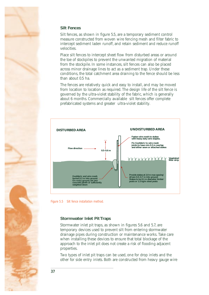

## **Silt Fences**

Silt fences, as shown in figure 5.5, are a temporary sediment control measure constructed from woven wire fencing mesh and filter fabric to intercept sediment laden runoff, and retain sediment and reduce runoff velocities.

Place silt fences to intercept sheet flow from disturbed areas or around the toe of stockpiles to prevent the unwanted migration of material from the stockpile. In some instances, silt fences can also be placed across minor drainage lines to act as a sediment trap. Under these conditions, the total catchment area draining to the fence should be less than about 0.5 ha.

The fences are relatively quick and easy to install, and may be moved from location to location as required. The design life of the silt fence is governed by the ultra-violet stability of the fabric, which is generally about 6 months. Commercially available silt fences offer complete prefabricated systems and greater ultra-violet stability.



*Figure 5.5 Silt fence installation method.* 

## **Stormwater Inlet Pit Traps**

Stormwater inlet pit traps, as shown in figures 5.6 and 5.7, are temporary devices used to prevent silt from entering stormwater drainage pipes during construction or maintenance works. Take care when installing these devices to ensure that total blockage of the approach to the inlet pit does not create a risk of flooding adjacent properties.

Two types of inlet pit traps can be used, one for drop inlets and the other for side entry inlets. Both are constructed from heavy gauge wire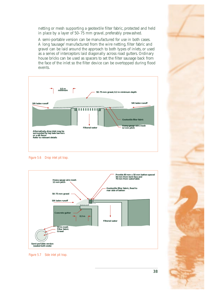netting or mesh supporting a geotextile filter fabric, protected and held in place by a layer of 50–75 mm gravel, preferably prewashed.

A semi-portable version can be manufactured for use in both cases. A long 'sausage' manufactured from the wire netting, filter fabric and gravel can be laid around the approach to both types of inlets, or used as a series of interceptors laid diagonally across road gutters. Ordinary house bricks can be used as spacers to set the filter sausage back from the face of the inlet so the filter device can be overtopped during flood events.



*Figure 5.6 Drop inlet pit trap.* 



*Figure 5.7 Side inlet pit trap.*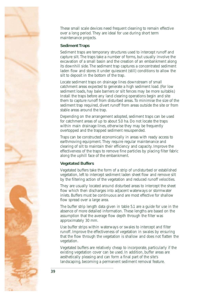

These small scale devices need frequent cleaning to remain effective over a long period. They are ideal for use during short term maintenance projects.

## **Sediment Traps**

Sediment traps are temporary structures used to intercept runoff and capture silt. The traps take a number of forms, but usually involve the excavation of a small basin and the creation of an embankment along its downhill side. The sediment trap captures a concentrated sediment laden flow and stores it under quiescent (still) conditions to allow the silt to deposit in the bottom of the trap.

Locate sediment traps on drainage lines downstream of small catchment areas expected to generate a high sediment load. (For low sediment loads, hay bale barriers or silt fences may be more suitable.) Install the traps before any land clearing operations begin and site them to capture runoff from disturbed areas. To minimise the size of the sediment trap required, divert runoff from areas outside the site or from stable areas around the trap.

Depending on the arrangement adopted, sediment traps can be used for catchment areas of up to about 5.0 ha. Do not locate the traps within main drainage lines, otherwise they may be frequently overtopped and the trapped sediment resuspended.

Traps can be constructed economically in areas with ready access to earthmoving equipment. They require regular maintenance and clearing of silt to maintain their efficiency and capacity. Improve the effectiveness of the traps to remove fine particles by placing filter fabric along the uphill face of the embankment.

## **Vegetated Buffers**

Vegetated buffers take the form of a strip of undisturbed or established vegetation, left to intercept sediment laden sheet flow and remove silt by the filtering action of the vegetation and reduced runoff velocities.

They are usually located around disturbed areas to intercept the sheet flow which then discharges into adjacent waterways or stormwater inlets. Buffers must be continuous and are most effective for shallow flow spread over a large area.

The buffer strip length data given in table 5.1 are a guide for use in the absence of more detailed information. These lengths are based on the assumption that the average flow depth through the filter was approximately 30 mm.

Use buffer strips within waterways or swales to intercept and filter runoff. Improve the effectiveness of vegetation in swales by ensuring that the flow through the vegetation is shallow and does not flatten the vegetation.

Vegetated buffers are relatively cheap to incorporate, particularly if the existing vegetation cover can be used. In addition, buffer areas are aesthetically pleasing and can form a final part of the site's landscaping, becoming a permanent sediment removal feature.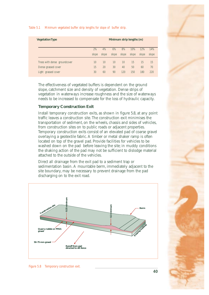#### *Table 5.1 Minimum vegetated buffer strip lengths for slope of buffer strip.*

| <b>Vegetation Type</b>       |       | Minimum strip lengths (m) |       |       |       |       |       |  |
|------------------------------|-------|---------------------------|-------|-------|-------|-------|-------|--|
|                              | 2%    | 4%                        | 6%    | 8%    | 10%   | 12%   | 14%   |  |
|                              | slope | slope                     | slope | slope | slope | slope | slope |  |
| Trees with dense groundcover | 10    | 10                        | 10    | 10    | 15    | 15    | 15    |  |
| Dense grassed cover          | 15    | 20                        | 30    | 40    | 50    | 60    | 70    |  |
| Light grassed cover          | 30    | 60                        | 90    | 120   | 150   | 180   | 220   |  |
|                              |       |                           |       |       |       |       |       |  |

The effectiveness of vegetated buffers is dependent on the ground slope, catchment size and density of vegetation. Dense strips of vegetation in waterways increase roughness and the size of waterways needs to be increased to compensate for the loss of hydraulic capacity.

#### **Temporary Construction Exit**

Install temporary construction exits, as shown in figure 5.8, at any point traffic leaves a construction site. The construction exit minimises the transportation of sediment, on the wheels, chassis and sides of vehicles, from construction sites on to public roads or adjacent properties. Temporary construction exits consist of an elevated pad of coarse gravel overlaying a geotextile fabric. A timber or metal shaker ramp is often located on top of the gravel pad. Provide facilities for vehicles to be washed down on the pad before leaving the site; in muddy conditions the shaking action of the pad may not be sufficient to dislodge material attached to the outside of the vehicles.

Direct all drainage from the exit pad to a sediment trap or sedimentation basin. A mountable berm, immediately adjacent to the site boundary, may be necessary to prevent drainage from the pad discharging on to the exit road.



*Figure 5.8 Temporary construction exit.* 



**40**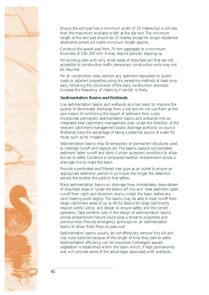

Ensure the exit pad has a minimum width of 3.0 metres but is not less than the maximum available width at the site exit. The minimum length of the exit pad should be 15 metres, except for single residential allotments where a 6 metre minimum length applies.

Construct the gravel pad from 75 mm aggregate, to a minimum thickness of 150–200 mm. It may require periodic topping up.

For building sites with only small areas of disturbed soil that are not accessible to construction traffic, temporary construction exits may not be required.

For all construction sites, remove any sediment deposited on public roads or adjacent properties using dry sweeping methods at least once daily following the conclusion of the daily construction activities. Increase the frequency of cleaning if rainfall is likely.

## **Sedimentation Basins and Wetlands**

Use sedimentation basins and wetlands as a last resort to improve the quality of stormwater discharge from a site and do not use them as the sole means of controlling the export of sediment from a site. Incorporate permanent sedimentation basins and wetlands into an integrated total catchment management plan under the direction of the relevant catchment management board, drainage authority or council. Wetlands have the advantage of being a potential source of water for reuse, such as for irrigation.

Sedimentation basins may be temporary or permanent structures used to intercept runoff and capture silt. The basins capture concentrated sediment laden runoff and store it under quiescent conditions to allow the silt to settle. Construct a compacted earthen embankment across a drainage line to make the basin.

Provide a perforated and filtered riser pipe as an outlet to ensure an appropriate detention period. In principle, the longer the detention period, the smaller the particle that settles.

Place sedimentation basins on drainage lines immediately downstream of disturbed areas or locate the basins off line and treat sediment laden runoff from catch and diversion drains. Install the basin before any land clearing work begins. The basins may be able to treat runoff from larger catchment areas of up to 40 ha. Basins for large catchments require careful siting and design to ensure safety and the correct operation. Take extreme care in the design of sedimentation basins whose embankment failure could pose a threat to properties and communities. Provide emergency spillways on all sedimentation basins to allow flood flows to pass over.

Sedimentation basins usually do not effectively remove fine silt and clay sized particles because of the length of time they take to settle. Sedimentation efficiency can be improved if emergent aquatic vegetation is established within the basin which, if kept permanently wet, will provide some of the advantages associated with wetlands.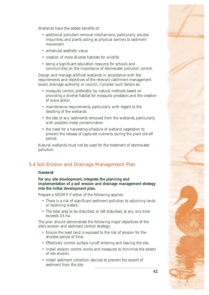

<span id="page-46-0"></span>Wetlands have the added benefits of:

- additional pollutant removal mechanisms, particularly soluble impurities, and plants acting as physical barriers to sediment movement
- enhanced aesthetic value
- creation of more diverse habitats for wildlife
- being a significant education resource for schools and communities on the importance of stormwater pollution control.

Design and manage artificial wetlands in accordance with the requirements and objectives of the relevant catchment management board, drainage authority or council. Consider such factors as:

- mosquito control, preferably by natural methods based on providing a diverse habitat for mosquito predators and the creation of wave action
- maintenance requirements, particularly with regard to the desilting of the wetlands
- the fate of any sediments removed from the wetlands, particularly with possible metal contamination
- the need for a harvesting schedule of wetland vegetation to prevent the release of captured nutrients during the plant die-off period.

Natural wetlands must not be used for the treatment of stormwater pollution.

## **5.4 Soil Erosion and Drainage Management Plan**

#### **General**

**For any site development, integrate the planning and implementation of a soil erosion and drainage management strategy into the initial development plan.** 

Prepare a SEDMP if either of the following applies:

- There is a risk of significant sediment pollution to adjoining lands or receiving waters.
- The total area to be disturbed, or left disturbed, at any one time exceeds 0.5 ha.

The plan should demonstrate the following major objectives of the site's erosion and sediment control strategy:

- Ensure the least land is exposed to the risk of erosion for the shortest period of time.
- Effectively control surface runoff entering and leaving the site.
- Install erosion control works and measures to minimise the extent of site erosion.
- Install sediment collection devices to prevent the export of sediment from the site.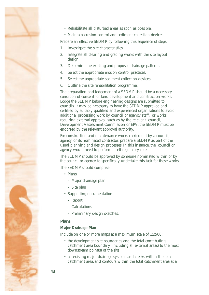- 
- • Rehabilitate all disturbed areas as soon as possible.
- Maintain erosion control and sediment collection devices.

Prepare an effective SEDMP by following this sequence of steps:

- 1. Investigate the site characteristics.
- 2. Integrate all clearing and grading works with the site layout design.
- 3. Determine the existing and proposed drainage patterns.
- 4. Select the appropriate erosion control practices.
- 5. Select the appropriate sediment collection devices.
- 6. Outline the site rehabilitation programme.

The preparation and lodgement of a SEDMP should be a necessary condition of consent for land development and construction works. Lodge the SEDMP before engineering designs are submitted to councils. It may be necessary to have the SEDMP approved and certified by suitably qualified and experienced organisations to avoid additional processing work by council or agency staff. For works requiring external approval, such as by the relevant council, Development Assessment Commission or EPA, the SEDMP must be endorsed by the relevant approval authority.

For construction and maintenance works carried out by a council, agency, or its nominated contractor, prepare a SEDMP as part of the usual planning and design processes. In this instance, the council or agency would need to perform a self regulatory role.

The SEDMP should be approved by someone nominated within or by the council or agency to specifically undertake this task for these works.

The SEDMP should comprise:

- • Plans
	- Major drainage plan
	- Site plan
- • Supporting documentation
	- Report
	- Calculations
	- Preliminary design sketches.

## **Plans**

## **Major Drainage Plan**

Include on one or more maps at a maximum scale of 1:2500:

- the development site boundaries and the total contributing catchment area boundary (including all external areas) to the most downstream point(s) of the site
- all existing major drainage systems and creeks within the total catchment area, and contours within the total catchment area at a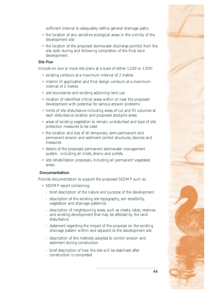sufficient interval to adequately define general drainage paths

- the location of any sensitive ecological areas in the vicinity of the development site
- the location of the proposed stormwater discharge point(s) from the site, both during and following completion of the final land development.

### **Site Plan**

Include on one or more site plans at a scale of either 1:200 or 1:500:

- existing contours at a maximum interval of 2 metres
- interim (if applicable) and final design contours at a maximum interval of 2 metres
- site boundaries and existing adjoining land use
- location of identified critical areas within or near the proposed development with potential for serious erosion problems
- limits of site disturbance including areas of cut and fill volumes at each disturbance location and proposed stockpile areas
- areas of existing vegetation to remain undisturbed and type of site protection measures to be used
- the location and size of all temporary, semi-permanent and permanent erosion and sediment control structures, devices and measures
- details of the proposed permanent stormwater management system, including all inlets, drains and outlets
- site rehabilitation proposals, including all permanent vegetated areas.

## **Documentation**

Provide documentation to support the proposed SEDMP such as:

- SEDMP report containing:
	- brief description of the nature and purpose of the development
	- description of the existing site topography, soil erodibility, vegetation and drainage pattern(s)
	- description of neighbouring areas, such as creeks, lakes, reserves and existing development that may be affected by the land disturbance
	- statement regarding the impact of the proposal on the existing drainage pattern within and adjacent to the development site
	- description of the methods adopted to control erosion and sediment during construction
	- brief description of how the site will be stabilised after construction is completed

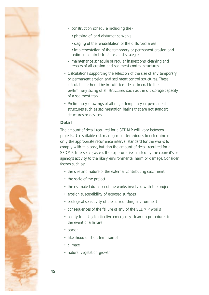

- construction schedule including the -
	- phasing of land disturbance works
	- staging of the rehabilitation of the disturbed areas
	- implementation of the temporary or permanent erosion and sediment control structures and strategies
- maintenance schedule of regular inspections, cleaning and repairs of all erosion and sediment control structures.
- Calculations supporting the selection of the size of any temporary or permanent erosion and sediment control structures. These calculations should be in sufficient detail to enable the preliminary sizing of all structures, such as the silt storage capacity of a sediment trap.
- Preliminary drawings of all major temporary or permanent structures such as sedimentation basins that are not standard structures or devices.

## **Detail**

The amount of detail required for a SEDMP will vary between projects. Use suitable risk management techniques to determine not only the appropriate recurrence interval standard for the works to comply with this code, but also the amount of detail required for a SEDMP. In essence, assess the exposure risk created by the council's or agency's activity to the likely environmental harm or damage. Consider factors such as:

- the size and nature of the external contributing catchment
- the scale of the project
- the estimated duration of the works involved with the project
- • erosion susceptibility of exposed surfaces
- ecological sensitivity of the surrounding environment
- consequences of the failure of any of the SEDMP works
- ability to instigate effective emergency clean up procedures in the event of a failure
- season
- likelihood of short term rainfall
- • climate
- natural vegetation growth.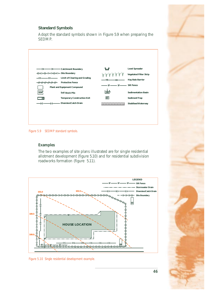## **Standard Symbols**

Adopt the standard symbols shown in Figure 5.9 when preparing the SEDMP.

|      | CB - CB - CB - Catchment Boundary        | 'l=F                      | <b>Level Spreader</b>         |
|------|------------------------------------------|---------------------------|-------------------------------|
|      | HHHHHHH-Site Boundary                    | YYYYYYY                   | <b>Vegetated Filter Strip</b> |
|      | -XX-XX-XX- Limit of Clearing and Grading | — HB —<br>$-$ HB $-$      | Hay Bale Barrier              |
|      | HHHHHH Protective Fence                  | SF - SF - SF - Silt Fence |                               |
|      | Plant and Equipment Compound             |                           |                               |
| SSP. | Soil Stock Pile                          | $\mathsf{lsb}$            | <b>Sedimentation Basin</b>    |
|      | <b>Temporary Construction Exit</b>       | <b>ST</b>                 | <b>Sediment Trap</b>          |
|      | - Diversion/Catch Drain                  | XXXXXXXXXXXXX             | <b>Stabilised Waterway</b>    |

*Figure 5.9 SEDMP standard symbols.* 

## **Examples**

The two examples of site plans illustrated are for single residential allotment development (figure 5.10) and for residential subdivision roadworks formation (figure 5.11).



*Figure 5.10 Single residential development example.* 

**46**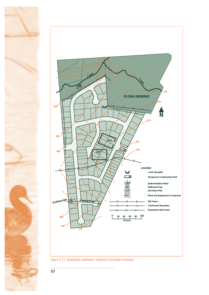

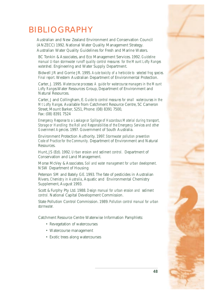## BIBLIOGRAPHY

Australian and New Zealand Environment and Conservation Council (ANZECC) 1992. National Water Quality Management Strategy. Australian Water Quality Guidelines for Fresh and Marine Waters.

BC Tonkin & Associates, and Eco Management Services. 1992. *Guideline manual Urban stormwater runoff quality control measures for the Mount Lofty Ranges watershed.* Engineering and Water Supply Department.

Bidwell JR and Gorrie JR. 1995. *Acute toxicity of a herbicide to selected frog species. Final report*. Western Australian Department of Environmental Protection.

Carter, J. 1995. *Watercourse processes: A guide for watercourse managers in the Mount Lofty Ranges.*Water Resources Group, Department of Environment and Natural Resources.

Carter, J and Collingham, E. *Guide to control measures for small watercourses in the Mt Lofty Ranges.* Available from Catchment Resource Centre, 5C Cameron Street, Mount Barker, 5251, Phone: (08) 8391 7500, Fax: (08) 8391 7524

*Emergency Response to a Leakage or Spillage of Hazardous Material during transport, Storage or Handling: the Roll and Responsibilities of the Emergency Services and other Government Agencies.* 1997*.* Government of South Australia.

Environment Protection Authority. 1997. *Stormwater pollution prevention Code of Practice for the Community.* Department of Environment and Natural Resources.

Hunt, JS (Ed). 1992. *Urban erosion and sediment control.* Department of Conservation and Land Management.

Morse McVey & Associates. *Soil and water management for urban development.*  NSW Department of Housing

Peterson SM and Bately GE. 1993. The fate of pesticides in Australian Rivers. *Chemistry in Australia*, Aquatic and Environmental Chemistry Supplement, August 1993.

Scott & Furphy Pty Ltd. 1988. *Design manual for urban erosion and sediment control.* National Capital Development Commission.

State Pollution Control Commission. 1989. *Pollution control manual for urban stormwater.* 

Catchment Resource Centre Waterwise Information Pamphlets:

- Revegetation of watercourses
- Watercourse management
- Exotic trees along watercourses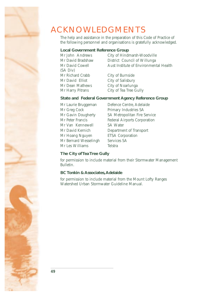<span id="page-53-0"></span>

## ACKNOWLEDGMENTS

The help and assistance in the preparation of this Code of Practice of the following personnel and organisations is gratefully acknowledged.

## **Local Government Reference Group**

(SA Div) Mr Richard Crabb City of Burnside Mr David Elliot City of Salisbury Mr Dean Mathews City of Noarlunga Mr Harry Pitrans City of Tea Tree Gully

Mr John Andrews City of Hindmarsh-Woodville Mr David Bradshaw District Council of Willunga Mr David Cowell **Aust Institute of Environmental Health** 

## **State and Federal Government Agency Reference Group**

Mr Greg Cock Primary Industries SA Mr Van Kennewell SA Water Mr Hoang Nguyen ETSA Corporation Mr Bernard Wesselingh Services SA Mr Les Williams Telstra

Mr Laurie Bruggeman Defence Centre, Adelaide Mr Gavin Dougherty SA Metropolitan Fire Service Mr Peter Francis Federal Airports Corporation Mr David Kernich Department of Transport

## **The City of Tea Tree Gully**

for permission to include material from their Stormwater Management Bulletin.

## **BC Tonkin & Associates, Adelaide**

for permission to include material from the Mount Lofty Ranges Watershed Urban Stormwater Guideline Manual.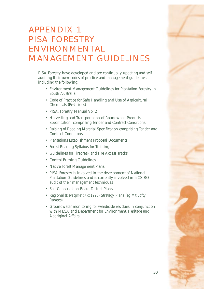## <span id="page-54-0"></span>APPENDIX 1 PISA FORESTRY ENVIRONMENTAL MANAGEMENT GUIDELINES

PISA Forestry have developed and are continually updating and self auditing their own codes of practice and management guidelines including the following:

- • Environment Management Guidelines for Plantation Forestry in South Australia
- • Code of Practice for Safe Handling and Use of Agricultural Chemicals (Pesticides)
- PISA, Forestry Manual Vol 2
- • Harvesting and Transportation of Roundwood Products Specification comprising Tender and Contract Conditions
- Raising of Roading Material Specification comprising Tender and Contract Conditions
- Plantations Establishment Proposal Documents
- • Forest Roading Syllabus for Training
- • Guidelines for Firebreak and Fire Access Tracks
- Control Burning Guidelines
- Native Forest Management Plans
- PISA Forestry is involved in the development of National Plantation Guidelines and is currently involved in a CSIRO audit of their management techniques
- Soil Conservation Board District Plans
- • Regional *(Development Act 1993)* Strategy Plans (eg Mt Lofty Ranges)
- • Groundwater monitoring for weedicide residues in conjunction with MESA and Department for Environment, Heritage and Aboriginal Affairs.

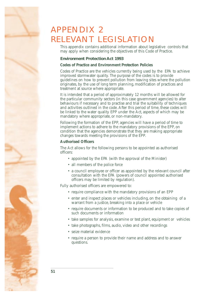## <span id="page-55-0"></span>APPENDIX 2 RELEVANT LEGISLATION

This appendix contains additional information about legislative controls that may apply when considering the objectives of this Code of Practice.

## **Environment Protection Act 1993**

### **Codes of Practice and Environment Protection Policies**

Codes of Practice are the vehicles currently being used by the EPA to achieve improved stormwater quality. The purpose of the codes is to provide guidelines on how to prevent pollution from leaving sites where the pollution originates, by the use of long term planning, modification of practices and treatment at source where appropriate.

It is intended that a period of approximately 12 months will be allowed for the particular community sectors (in this case government agencies) to alter behaviours if necessary and to practise and trial the suitability of techniques and activities outlined in the code. After this period of time, these codes will be linked to the water quality EPP under the Act, aspects of which may be mandatory where appropriate, or non-mandatory.

Following the formation of the EPP, agencies will have a period of time to implement actions to adhere to the mandatory provisions of the EPP, on condition that the agencies demonstrate that they are making appropriate changes towards meeting the provisions of the EPP.

## **Authorised Officers**

The Act allows for the following persons to be appointed as authorised officers:

- appointed by the EPA (with the approval of the Minister)
- all members of the police force
- a council employee or officer as appointed by the relevant council after consultation with the EPA (powers of council appointed authorised officers may be limited by regulation).

Fully authorised officers are empowered to:

- require compliance with the mandatory provisions of an EPP
- enter and inspect places or vehicles including, on the obtaining of a warrant from a justice, breaking into a place or vehicle
- require documents or information to be produced and to take copies of such documents or information
- take samples for analysis, examine or test plant, equipment or vehicles
- take photographs, films, audio, video and other recordings
- • seize material evidence
- require a person to provide their name and address and to answer questions.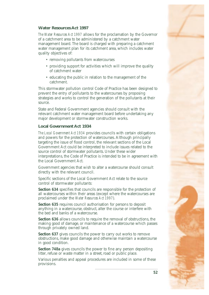

### **Water Resources Act 1997**

*The Water Resources Act 1997* allows for the proclamation by the Governor of a catchment area to be administered by a catchment water management board. The board is charged with preparing a catchment water management plan for its catchment area, which includes water quality objectives of:

- removing pollutants from watercourses
- providing support for activities which will improve the quality of catchment water
- educating the public in relation to the management of the catchment.

This stormwater pollution control Code of Practice has been designed to prevent the entry of pollutants to the watercourses by proposing strategies and works to control the generation of the pollutants at their source.

State and Federal Government agencies should consult with the relevant catchment water management board before undertaking any major development or stormwater construction works.

#### **Local Government Act 1934**

*The Local Government Act 1934* provides councils with certain obligations and powers for the protection of watercourses. Although principally targeting the issue of flood control, the relevant sections of the Local Government Act could be interpreted to include issues related to the source control of stormwater pollutants. Under these wider interpretations, the Code of Practice is intended to be in agreement with the Local Government Act.

Government agencies that wish to alter a watercourse should consult directly with the relevant council.

Specific sections of the Local Government Act relate to the source control of stormwater pollutants:

**Section 634** specifies that councils are responsible for the protection of all watercourses within their areas (except where the watercourses are proclaimed under the *Water Resources Act 1997*).

**Section 635** requires council authorisation for persons to deposit anything in a watercourse, obstruct, alter the course or interfere with the bed and banks of a watercourse.

**Section 636** allows councils to require the removal of obstructions, the making good of damage, or maintenance of a watercourse which passes through privately owned land.

**Section 637** gives councils the power to carry out works to remove obstructions, make good damage and otherwise maintain a watercourse in good condition.

**Section 748a** gives councils the power to fine any person depositing litter, refuse or waste matter in a street, road or public place.

Various penalties and appeal procedures are included in some of these provisions.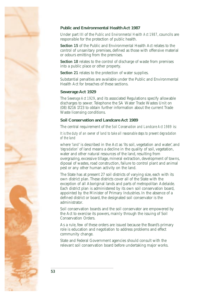

## **Public and Environmental Health Act 1987**

Under part III of the *Public and Environmental Health Act 1987*, councils are responsible for the protection of public health.

**Section 15** of the Public and Environmental Health Act relates to the control of unsanitary premises, defined as those with offensive material or odours emitting from the premises.

**Section 18** relates to the control of discharge of waste from premises into a public place or other property.

**Section 21** relates to the protection of water supplies.

Substantial penalties are available under the Public and Environmental Health Act for breaches of these sections.

#### **Sewerage Act 1929**

The *Sewerage Act 1929*, and its associated Regulations specify allowable discharges to sewer. Telephone the SA Water Trade Wastes Unit on (08) 8216 1723 to obtain further information about the current Trade Waste licensing conditions.

#### **Soil Conservation and Landcare Act 1989**

The central requirement of the *Soil Conservation and Landcare Act 1989* is:

*It is the duty of an owner of land to take all reasonable steps to prevent degradation of the land* 

where *'land*' is described in the Act as 'its soil, vegetation and water', and *'degradation'* of land means a decline in the quality of soil, vegetation, water and other natural resources of the land, resulting from overgrazing, excessive tillage, mineral extraction, development of towns, diposal of wastes, road construction, failure to control plant and animal pest or any other human activity on the land.

The State has at present 27 soil districts of varying size, each with its own district plan. These districts cover all of the State with the exception of all Aboriginal lands and parts of metropolitan Adelaide. Each district plan is administered by its own soil conservation board, appointed by the Minister of Primary Industries. In the absence of a defined district or board, the designated soil conservator is the administrator.

Soil conservation boards and the soil conservator are empowered by the Act to exercise its powers, mainly through the issuing of Soil Conservation Orders.

As a rule, few of these orders are issued because the Board's primary role is education and negotiation to address problems and effect community change.

State and Federal Government agencies should consult with the relevant soil conservation board before undertaking major works.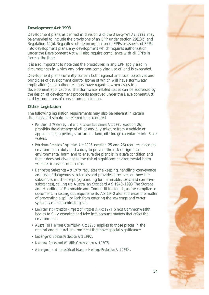## **Development Act 1993**

Development plans, as defined in division 2 of the *Development Act 1993*, may be amended to include the provisions of an EPP under section 29(1)(b) and Regulation 14(b). Regardless of the incorporation of EPPs or aspects of EPPs into development plans, any development which requires authorisation under the Development Act will also require compliance with all EPPs in force at the time.

It is also important to note that the procedures in any EPP apply also in circumstances in which any prior non-complying use of land is expanded.

Development plans currently contain both regional and local objectives and principles of development control (some of which will have stormwater implications) that authorities must have regard to when assessing development applications. The stormwater related issues can be addressed by the design of development proposals approved under the Development Act and by conditions of consent on application.

## **Other Legislation**

The following legislation requirements may also be relevant in certain situations and should be referred to as required.

- *Pollution of Waters by Oil and Noxious Substances Act 1987* (section 26) prohibits the discharge of oil or any oily mixture from a vehicle or apparatus (eg pipeline, structure on land, oil storage receptacle) into State waters.
- • *Petroleum Products Regulation Act 1995* (section 25 and 26) requires a general environmental duty and a duty to prevent the risk of significant environmental harm and to ensure the plant is in a safe condition and that it does not give rise to the risk of significant environmental harm whether in use or not in use.
- • *Dangerous Substances Act 1979* regulates the keeping, handling, conveyance and use of dangerous substances and provides directives on how the substances must be kept (eg bunding for flammable, toxic and corrosive substances), calling up Australian Standard AS 1940–1993 The Storage and Handling of Flammable and Combustible Liquids, as the compliance document. In setting out requirements, AS 1940 also addresses the matter of preventing a spill or leak from entering the sewerage and water systems and contaminating soil.
- • *Environment Protection (Impact of Proposals) Act 1974* binds Commonwealth bodies to fully examine and take into account matters that affect the environment.
- • *Australian Heritage Commission Act 1975* applies to those places in the natural and cultural environment that have special significance.
- • *Endangered Species Protection Act 1992*.
- • *National Parks and Wildlife Conservation Act 1975*.
- • *Aboriginal and Torres Strait Islander Heritage Protection Act 1984*.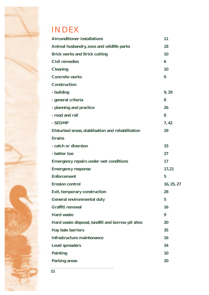

## INDEX

| <b>Airconditioner installations</b>                | 11         |
|----------------------------------------------------|------------|
| Animal husbandry, zoos and wildlife parks          | 18         |
| <b>Brick works and Brick cutting</b>               | 10         |
| <b>Civil remedies</b>                              | 6          |
| Cleaning                                           | 10         |
| <b>Concrete works</b>                              | 9          |
| Construction                                       |            |
| - building                                         | 9,29       |
| - general criteria                                 | 8          |
| - planning and practice                            | 26         |
| - road and rail                                    | 8          |
| - SEDMP                                            | 7,42       |
| Disturbed areas, stabilisation and rehabilitation  | 29         |
| <b>Drains</b>                                      |            |
| - catch or diversion                               | 33         |
| - batter toe                                       | 27         |
| <b>Emergency repairs under wet conditions</b>      | 17         |
| <b>Emergency response</b>                          | 17,21      |
| <b>Enforcement</b>                                 | 5          |
| <b>Erosion control</b>                             | 16, 25, 27 |
| Exit, temporary construction                       | 28         |
| General environmental duty                         | 5          |
| Graffiti removal                                   | 16         |
| <b>Hard waste</b>                                  | 9          |
| Hard waste disposal, landfill and borrow pit sites | 20         |
| Hay bale barriers                                  | 35         |
| Infrastructure maintenance                         | 16         |
| Level spreaders                                    | 34         |
| Painting                                           | 10         |
| Parking areas                                      | 20         |
|                                                    |            |